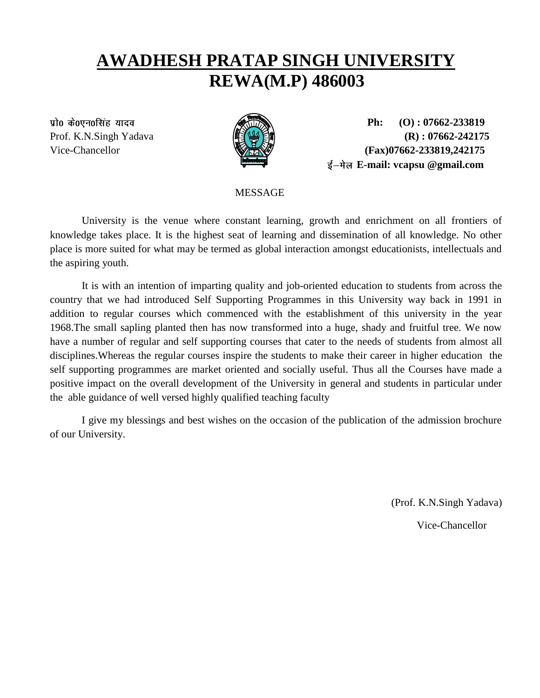## **AWADHESH PRATAP SINGH UNIVERSITY REWA(M.P) 486003**



 **Ph: (O) : 07662-233819** Prof. K.N.Singh Yadava **(R) : 07662-242175** Vice-Chancellor *(Fax)* **(Fax) (Fax) (Fax) (Fax) (Fax) (Fax) (Fax) (Fax) (Fax) (Fax) (Fax) (Fax) (Fax) (Fax) (Fax) (Fax) (Fax) (Fax) (Fax) (Fax) (Fax) (Fax) (Fax) (Fax) (Fa E-mail: vcapsu @gmail.com** 

MESSAGE

University is the venue where constant learning, growth and enrichment on all frontiers of knowledge takes place. It is the highest seat of learning and dissemination of all knowledge. No other place is more suited for what may be termed as global interaction amongst educationists, intellectuals and the aspiring youth.

It is with an intention of imparting quality and job-oriented education to students from across the country that we had introduced Self Supporting Programmes in this University way back in 1991 in addition to regular courses which commenced with the establishment of this university in the year 1968.The small sapling planted then has now transformed into a huge, shady and fruitful tree. We now have a number of regular and self supporting courses that cater to the needs of students from almost all disciplines.Whereas the regular courses inspire the students to make their career in higher education the self supporting programmes are market oriented and socially useful. Thus all the Courses have made a positive impact on the overall development of the University in general and students in particular under the able guidance of well versed highly qualified teaching faculty

I give my blessings and best wishes on the occasion of the publication of the admission brochure of our University.

(Prof. K.N.Singh Yadava)

Vice-Chancellor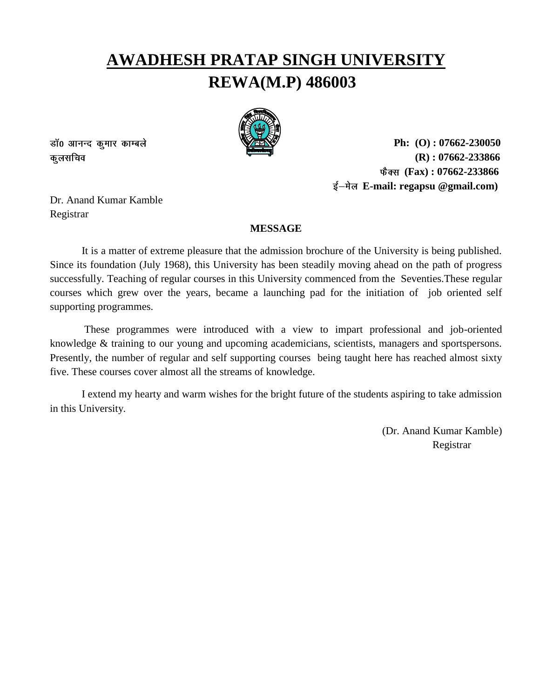# **AWADHESH PRATAP SINGH UNIVERSITY REWA(M.P) 486003**



डॉ0 आनन्द कूमार काम्बले कूलसचिव

 **Ph: (O) : 07662-230050 (R) : 07662-233866 (Fax) : 07662-233866 E-mail: regapsu @gmail.com)** 

Dr. Anand Kumar Kamble Registrar

## **MESSAGE**

It is a matter of extreme pleasure that the admission brochure of the University is being published. Since its foundation (July 1968), this University has been steadily moving ahead on the path of progress successfully. Teaching of regular courses in this University commenced from the Seventies.These regular courses which grew over the years, became a launching pad for the initiation of job oriented self supporting programmes.

These programmes were introduced with a view to impart professional and job-oriented knowledge & training to our young and upcoming academicians, scientists, managers and sportspersons. Presently, the number of regular and self supporting courses being taught here has reached almost sixty five. These courses cover almost all the streams of knowledge.

I extend my hearty and warm wishes for the bright future of the students aspiring to take admission in this University.

(Dr. Anand Kumar Kamble) Registrar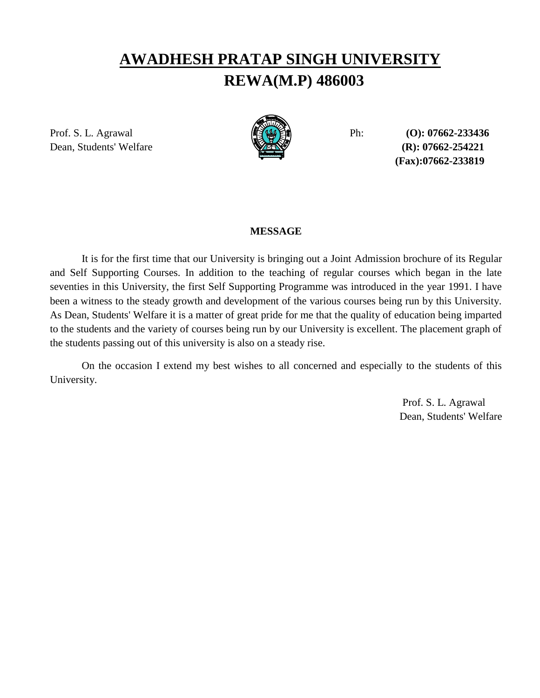## **AWADHESH PRATAP SINGH UNIVERSITY REWA(M.P) 486003**

Prof. S. L. Agrawal Ph: **(O): 07662-233436** Dean, Students' Welfare **(R): 07662-254221** 



**(Fax):07662-233819**

## **MESSAGE**

It is for the first time that our University is bringing out a Joint Admission brochure of its Regular and Self Supporting Courses. In addition to the teaching of regular courses which began in the late seventies in this University, the first Self Supporting Programme was introduced in the year 1991. I have been a witness to the steady growth and development of the various courses being run by this University. As Dean, Students' Welfare it is a matter of great pride for me that the quality of education being imparted to the students and the variety of courses being run by our University is excellent. The placement graph of the students passing out of this university is also on a steady rise.

On the occasion I extend my best wishes to all concerned and especially to the students of this University.

> Prof. S. L. Agrawal Dean, Students' Welfare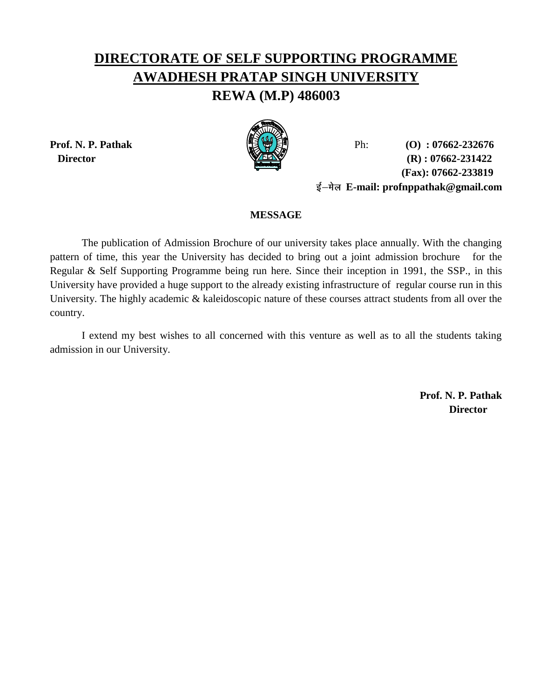## **DIRECTORATE OF SELF SUPPORTING PROGRAMME AWADHESH PRATAP SINGH UNIVERSITY**

## **REWA (M.P) 486003**



**Prof. N. P. Pathak** Ph: **(O) : 07662-232676 Director** (R) : 07662-231422  **(Fax): 07662-233819 E-mail: profnppathak@gmail.com**

## **MESSAGE**

The publication of Admission Brochure of our university takes place annually. With the changing pattern of time, this year the University has decided to bring out a joint admission brochure for the Regular & Self Supporting Programme being run here. Since their inception in 1991, the SSP., in this University have provided a huge support to the already existing infrastructure of regular course run in this University. The highly academic & kaleidoscopic nature of these courses attract students from all over the country.

I extend my best wishes to all concerned with this venture as well as to all the students taking admission in our University.

> **Prof. N. P. Pathak Director**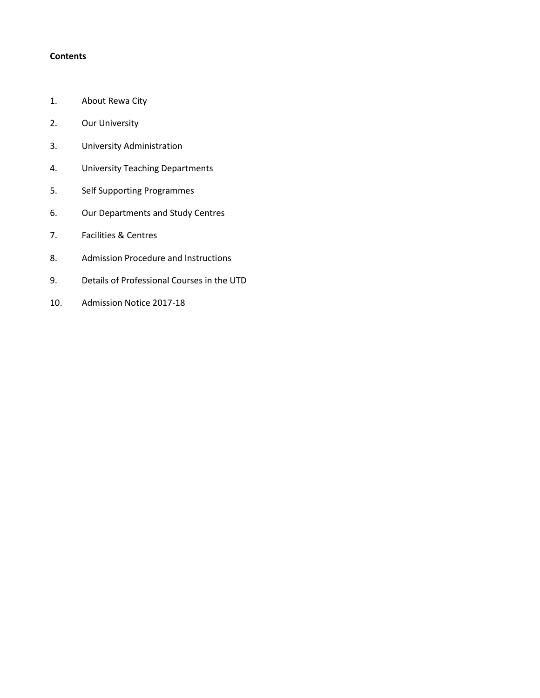## **Contents**

- 1. About Rewa City
- 2. Our University
- 3. University Administration
- 4. University Teaching Departments
- 5. Self Supporting Programmes
- 6. Our Departments and Study Centres
- 7. Facilities & Centres
- 8. Admission Procedure and Instructions
- 9. Details of Professional Courses in the UTD
- 10. Admission Notice 2017-18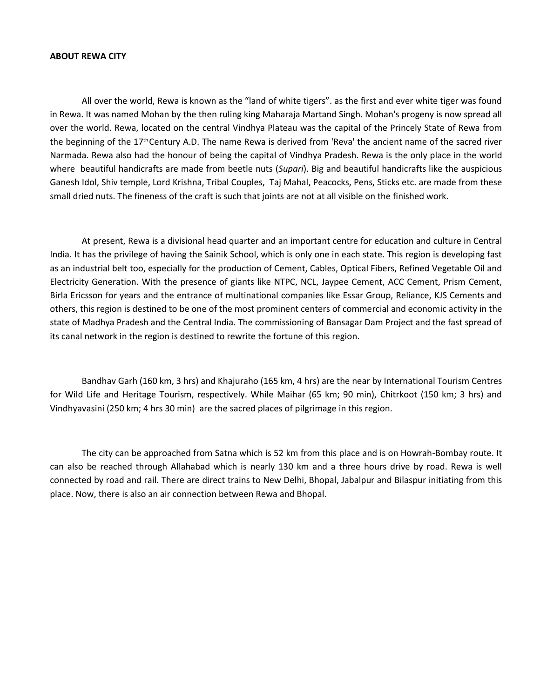#### **ABOUT REWA CITY**

All over the world, Rewa is known as the "land of white tigers". as the first and ever white tiger was found in Rewa. It was named Mohan by the then ruling king Maharaja Martand Singh. Mohan's progeny is now spread all over the world. Rewa, located on the central Vindhya Plateau was the capital of the Princely State of Rewa from the beginning of the 17<sup>th</sup> Century A.D. The name Rewa is derived from 'Reva' the ancient name of the sacred river Narmada. Rewa also had the honour of being the capital of Vindhya Pradesh. Rewa is the only place in the world where beautiful handicrafts are made from beetle nuts (*Supari*). Big and beautiful handicrafts like the auspicious Ganesh Idol, Shiv temple, Lord Krishna, Tribal Couples, Taj Mahal, Peacocks, Pens, Sticks etc. are made from these small dried nuts. The fineness of the craft is such that joints are not at all visible on the finished work.

At present, Rewa is a divisional head quarter and an important centre for education and culture in Central India. It has the privilege of having the Sainik School, which is only one in each state. This region is developing fast as an industrial belt too, especially for the production of Cement, Cables, Optical Fibers, Refined Vegetable Oil and Electricity Generation. With the presence of giants like NTPC, NCL, Jaypee Cement, ACC Cement, Prism Cement, Birla Ericsson for years and the entrance of multinational companies like Essar Group, Reliance, KJS Cements and others, this region is destined to be one of the most prominent centers of commercial and economic activity in the state of Madhya Pradesh and the Central India. The commissioning of Bansagar Dam Project and the fast spread of its canal network in the region is destined to rewrite the fortune of this region.

Bandhav Garh (160 km, 3 hrs) and Khajuraho (165 km, 4 hrs) are the near by International Tourism Centres for Wild Life and Heritage Tourism, respectively. While Maihar (65 km; 90 min), Chitrkoot (150 km; 3 hrs) and Vindhyavasini (250 km; 4 hrs 30 min) are the sacred places of pilgrimage in this region.

The city can be approached from Satna which is 52 km from this place and is on Howrah-Bombay route. It can also be reached through Allahabad which is nearly 130 km and a three hours drive by road. Rewa is well connected by road and rail. There are direct trains to New Delhi, Bhopal, Jabalpur and Bilaspur initiating from this place. Now, there is also an air connection between Rewa and Bhopal.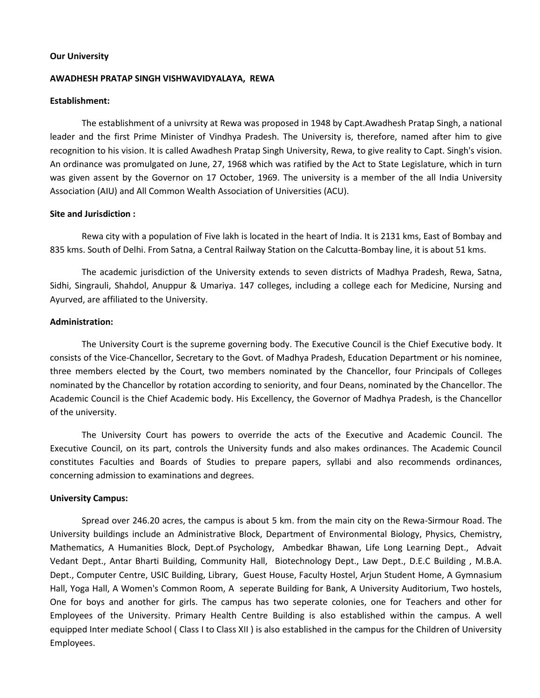#### **Our University**

#### **AWADHESH PRATAP SINGH VISHWAVIDYALAYA, REWA**

#### **Establishment:**

The establishment of a univrsity at Rewa was proposed in 1948 by Capt.Awadhesh Pratap Singh, a national leader and the first Prime Minister of Vindhya Pradesh. The University is, therefore, named after him to give recognition to his vision. It is called Awadhesh Pratap Singh University, Rewa, to give reality to Capt. Singh's vision. An ordinance was promulgated on June, 27, 1968 which was ratified by the Act to State Legislature, which in turn was given assent by the Governor on 17 October, 1969. The university is a member of the all India University Association (AIU) and All Common Wealth Association of Universities (ACU).

#### **Site and Jurisdiction :**

Rewa city with a population of Five lakh is located in the heart of India. It is 2131 kms, East of Bombay and 835 kms. South of Delhi. From Satna, a Central Railway Station on the Calcutta-Bombay line, it is about 51 kms.

The academic jurisdiction of the University extends to seven districts of Madhya Pradesh, Rewa, Satna, Sidhi, Singrauli, Shahdol, Anuppur & Umariya. 147 colleges, including a college each for Medicine, Nursing and Ayurved, are affiliated to the University.

#### **Administration:**

The University Court is the supreme governing body. The Executive Council is the Chief Executive body. It consists of the Vice-Chancellor, Secretary to the Govt. of Madhya Pradesh, Education Department or his nominee, three members elected by the Court, two members nominated by the Chancellor, four Principals of Colleges nominated by the Chancellor by rotation according to seniority, and four Deans, nominated by the Chancellor. The Academic Council is the Chief Academic body. His Excellency, the Governor of Madhya Pradesh, is the Chancellor of the university.

The University Court has powers to override the acts of the Executive and Academic Council. The Executive Council, on its part, controls the University funds and also makes ordinances. The Academic Council constitutes Faculties and Boards of Studies to prepare papers, syllabi and also recommends ordinances, concerning admission to examinations and degrees.

#### **University Campus:**

Spread over 246.20 acres, the campus is about 5 km. from the main city on the Rewa-Sirmour Road. The University buildings include an Administrative Block, Department of Environmental Biology, Physics, Chemistry, Mathematics, A Humanities Block, Dept.of Psychology, Ambedkar Bhawan, Life Long Learning Dept., Advait Vedant Dept., Antar Bharti Building, Community Hall, Biotechnology Dept., Law Dept., D.E.C Building , M.B.A. Dept., Computer Centre, USIC Building, Library, Guest House, Faculty Hostel, Arjun Student Home, A Gymnasium Hall, Yoga Hall, A Women's Common Room, A seperate Building for Bank, A University Auditorium, Two hostels, One for boys and another for girls. The campus has two seperate colonies, one for Teachers and other for Employees of the University. Primary Health Centre Building is also established within the campus. A well equipped Inter mediate School (Class I to Class XII) is also established in the campus for the Children of University Employees.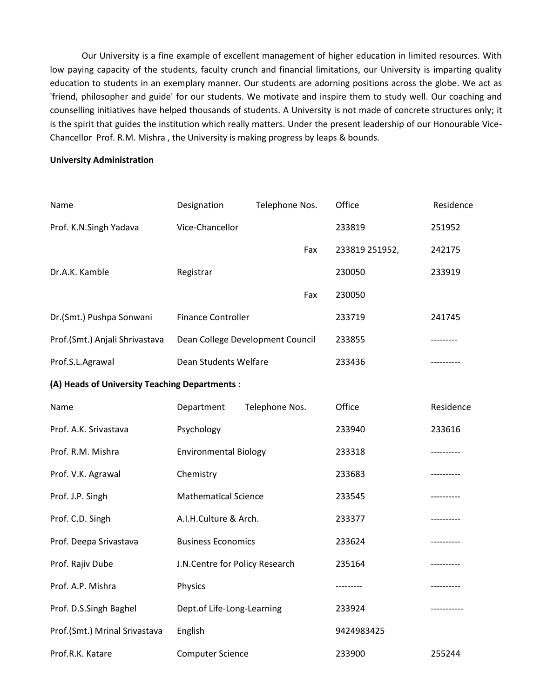Our University is a fine example of excellent management of higher education in limited resources. With low paying capacity of the students, faculty crunch and financial limitations, our University is imparting quality education to students in an exemplary manner. Our students are adorning positions across the globe. We act as 'friend, philosopher and guide' for our students. We motivate and inspire them to study well. Our coaching and counselling initiatives have helped thousands of students. A University is not made of concrete structures only; it is the spirit that guides the institution which really matters. Under the present leadership of our Honourable Vice-Chancellor Prof. R.M. Mishra , the University is making progress by leaps & bounds.

## **University Administration**

| Name                                          | Designation                      | Telephone Nos. | Office         | Residence   |
|-----------------------------------------------|----------------------------------|----------------|----------------|-------------|
| Prof. K.N.Singh Yadava                        | Vice-Chancellor                  |                | 233819         | 251952      |
|                                               |                                  | Fax            | 233819 251952, | 242175      |
| Dr.A.K. Kamble                                | Registrar                        |                | 230050         | 233919      |
|                                               |                                  | Fax            | 230050         |             |
| Dr.(Smt.) Pushpa Sonwani                      | <b>Finance Controller</b>        |                | 233719         | 241745      |
| Prof.(Smt.) Anjali Shrivastava                | Dean College Development Council |                | 233855         | ---------   |
| Prof.S.L.Agrawal                              | Dean Students Welfare            |                | 233436         | ---------   |
| (A) Heads of University Teaching Departments: |                                  |                |                |             |
| Name                                          | Department                       | Telephone Nos. | Office         | Residence   |
| Prof. A.K. Srivastava                         | Psychology                       |                | 233940         | 233616      |
| Prof. R.M. Mishra                             | <b>Environmental Biology</b>     |                | 233318         | ----------  |
| Prof. V.K. Agrawal                            | Chemistry                        |                | 233683         |             |
| Prof. J.P. Singh                              | <b>Mathematical Science</b>      |                | 233545         | ----------  |
| Prof. C.D. Singh                              | A.I.H.Culture & Arch.            |                | 233377         | ----------- |
| Prof. Deepa Srivastava                        | <b>Business Economics</b>        |                | 233624         |             |
| Prof. Rajiv Dube                              | J.N.Centre for Policy Research   |                | 235164         |             |
| Prof. A.P. Mishra                             | Physics                          |                | ---------      | ----------- |
| Prof. D.S.Singh Baghel                        | Dept.of Life-Long-Learning       |                | 233924         | ----------- |
| Prof.(Smt.) Mrinal Srivastava                 | English                          |                | 9424983425     |             |
| Prof.R.K. Katare                              | <b>Computer Science</b>          |                | 233900         | 255244      |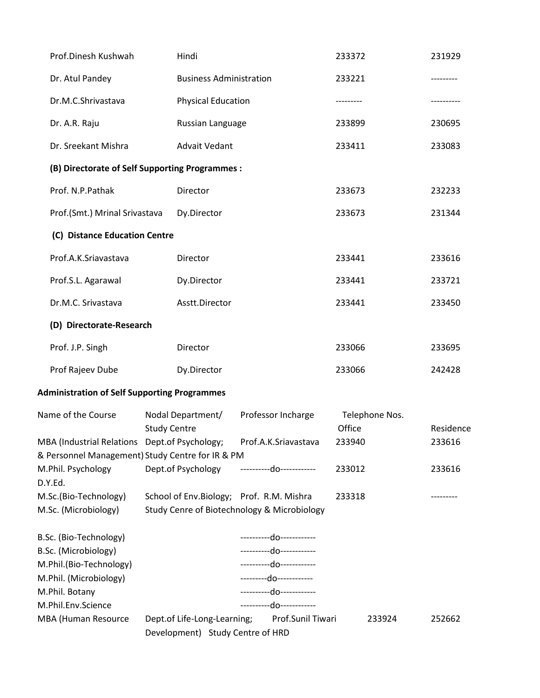| Prof.Dinesh Kushwah                                                                                                                         | Hindi                                    |                                                                                                                                                                        | 233372                   | 231929    |
|---------------------------------------------------------------------------------------------------------------------------------------------|------------------------------------------|------------------------------------------------------------------------------------------------------------------------------------------------------------------------|--------------------------|-----------|
| Dr. Atul Pandey                                                                                                                             | <b>Business Administration</b>           |                                                                                                                                                                        | 233221                   |           |
| Dr.M.C.Shrivastava                                                                                                                          | <b>Physical Education</b>                |                                                                                                                                                                        |                          |           |
| Dr. A.R. Raju                                                                                                                               | Russian Language                         |                                                                                                                                                                        | 233899                   | 230695    |
| Dr. Sreekant Mishra                                                                                                                         | <b>Advait Vedant</b>                     |                                                                                                                                                                        | 233411                   | 233083    |
| (B) Directorate of Self Supporting Programmes :                                                                                             |                                          |                                                                                                                                                                        |                          |           |
| Prof. N.P.Pathak                                                                                                                            | Director                                 |                                                                                                                                                                        | 233673                   | 232233    |
| Prof.(Smt.) Mrinal Srivastava                                                                                                               | Dy.Director                              |                                                                                                                                                                        | 233673                   | 231344    |
| (C) Distance Education Centre                                                                                                               |                                          |                                                                                                                                                                        |                          |           |
| Prof.A.K.Sriavastava                                                                                                                        | Director                                 |                                                                                                                                                                        | 233441                   | 233616    |
| Prof.S.L. Agarawal                                                                                                                          | Dy.Director                              |                                                                                                                                                                        | 233441                   | 233721    |
| Dr.M.C. Srivastava                                                                                                                          | Asstt.Director                           |                                                                                                                                                                        | 233441                   | 233450    |
| (D) Directorate-Research                                                                                                                    |                                          |                                                                                                                                                                        |                          |           |
| Prof. J.P. Singh                                                                                                                            | Director                                 |                                                                                                                                                                        | 233066                   | 233695    |
| Prof Rajeev Dube                                                                                                                            | Dy.Director                              |                                                                                                                                                                        | 233066                   | 242428    |
| <b>Administration of Self Supporting Programmes</b>                                                                                         |                                          |                                                                                                                                                                        |                          |           |
| Name of the Course                                                                                                                          | Nodal Department/<br><b>Study Centre</b> | Professor Incharge                                                                                                                                                     | Telephone Nos.<br>Office | Residence |
| MBA (Industrial Relations Dept.of Psychology;<br>& Personnel Management) Study Centre for IR & PM                                           |                                          | Prof.A.K.Sriavastava                                                                                                                                                   | 233940                   | 233616    |
| M.Phil. Psychology<br>D.Y.Ed.                                                                                                               |                                          | Dept.of Psychology -----------do------------                                                                                                                           | 233012                   | 233616    |
| M.Sc.(Bio-Technology)<br>M.Sc. (Microbiology)                                                                                               |                                          | School of Env. Biology; Prof. R.M. Mishra<br>Study Cenre of Biotechnology & Microbiology                                                                               | 233318                   |           |
| B.Sc. (Bio-Technology)<br>B.Sc. (Microbiology)<br>M.Phil.(Bio-Technology)<br>M.Phil. (Microbiology)<br>M.Phil. Botany<br>M.Phil.Env.Science |                                          | ----------do------------<br>-----------do------------<br>-----------do------------<br>----------do------------<br>-----------do------------<br>----------do----------- |                          |           |
| MBA (Human Resource                                                                                                                         | Development) Study Centre of HRD         | Dept.of Life-Long-Learning; Prof.Sunil Tiwari                                                                                                                          | 233924                   | 252662    |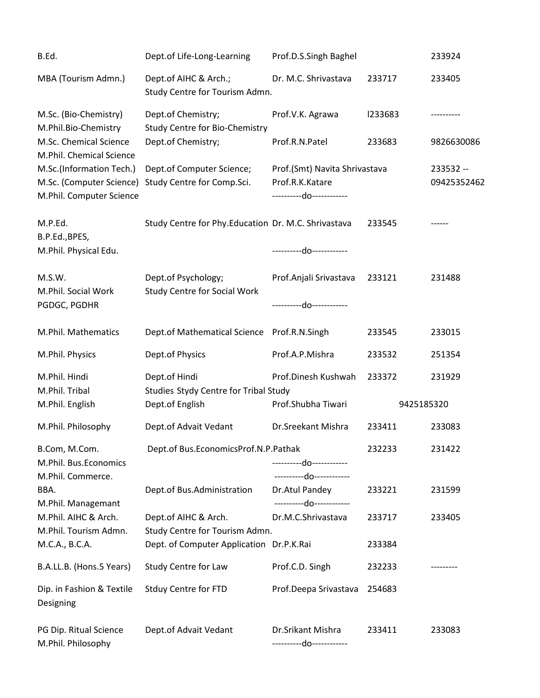| B.Ed.                                                                            | Dept.of Life-Long-Learning                                  | Prof.D.S.Singh Baghel                                                       |            | 233924                   |
|----------------------------------------------------------------------------------|-------------------------------------------------------------|-----------------------------------------------------------------------------|------------|--------------------------|
| MBA (Tourism Admn.)                                                              | Dept.of AIHC & Arch.;<br>Study Centre for Tourism Admn.     | Dr. M.C. Shrivastava                                                        | 233717     | 233405                   |
| M.Sc. (Bio-Chemistry)<br>M.Phil.Bio-Chemistry                                    | Dept.of Chemistry;<br><b>Study Centre for Bio-Chemistry</b> | Prof.V.K. Agrawa                                                            | 1233683    |                          |
| M.Sc. Chemical Science<br>M.Phil. Chemical Science                               | Dept.of Chemistry;                                          | Prof.R.N.Patel                                                              | 233683     | 9826630086               |
| M.Sc.(Information Tech.)<br>M.Sc. (Computer Science)<br>M.Phil. Computer Science | Dept.of Computer Science;<br>Study Centre for Comp.Sci.     | Prof.(Smt) Navita Shrivastava<br>Prof.R.K.Katare<br>----------do----------- |            | 233532 --<br>09425352462 |
| M.P.Ed.<br>B.P.Ed., BPES,                                                        | Study Centre for Phy.Education Dr. M.C. Shrivastava         |                                                                             | 233545     |                          |
| M.Phil. Physical Edu.                                                            |                                                             | ----------do------------                                                    |            |                          |
| M.S.W.<br>M.Phil. Social Work                                                    | Dept.of Psychology;<br><b>Study Centre for Social Work</b>  | Prof.Anjali Srivastava                                                      | 233121     | 231488                   |
| PGDGC, PGDHR                                                                     |                                                             | ----------do-----------                                                     |            |                          |
| M.Phil. Mathematics                                                              | Dept.of Mathematical Science Prof.R.N.Singh                 |                                                                             | 233545     | 233015                   |
| M.Phil. Physics                                                                  | Dept.of Physics                                             | Prof.A.P.Mishra                                                             | 233532     | 251354                   |
| M.Phil. Hindi<br>M.Phil. Tribal                                                  | Dept.of Hindi<br>Studies Stydy Centre for Tribal Study      | Prof.Dinesh Kushwah                                                         | 233372     | 231929                   |
| M.Phil. English                                                                  | Dept.of English                                             | Prof.Shubha Tiwari                                                          | 9425185320 |                          |
| M.Phil. Philosophy                                                               | Dept.of Advait Vedant                                       | Dr.Sreekant Mishra                                                          | 233411     | 233083                   |
| B.Com, M.Com.<br>M.Phil. Bus.Economics<br>M.Phil. Commerce.                      | Dept.of Bus.EconomicsProf.N.P.Pathak                        | ----------do-----------<br>----------do------------                         | 232233     | 231422                   |
| BBA.<br>M.Phil. Managemant                                                       | Dept.of Bus.Administration                                  | Dr.Atul Pandey<br>----------do-----------                                   | 233221     | 231599                   |
| M.Phil. AIHC & Arch.<br>M.Phil. Tourism Admn.                                    | Dept.of AIHC & Arch.<br>Study Centre for Tourism Admn.      | Dr.M.C.Shrivastava                                                          | 233717     | 233405                   |
| M.C.A., B.C.A.                                                                   | Dept. of Computer Application Dr.P.K.Rai                    |                                                                             | 233384     |                          |
| B.A.LL.B. (Hons.5 Years)                                                         | Study Centre for Law                                        | Prof.C.D. Singh                                                             | 232233     |                          |
| Dip. in Fashion & Textile<br>Designing                                           | <b>Stduy Centre for FTD</b>                                 | Prof.Deepa Srivastava                                                       | 254683     |                          |
| PG Dip. Ritual Science<br>M.Phil. Philosophy                                     | Dept.of Advait Vedant                                       | Dr.Srikant Mishra<br>-----------do------------                              | 233411     | 233083                   |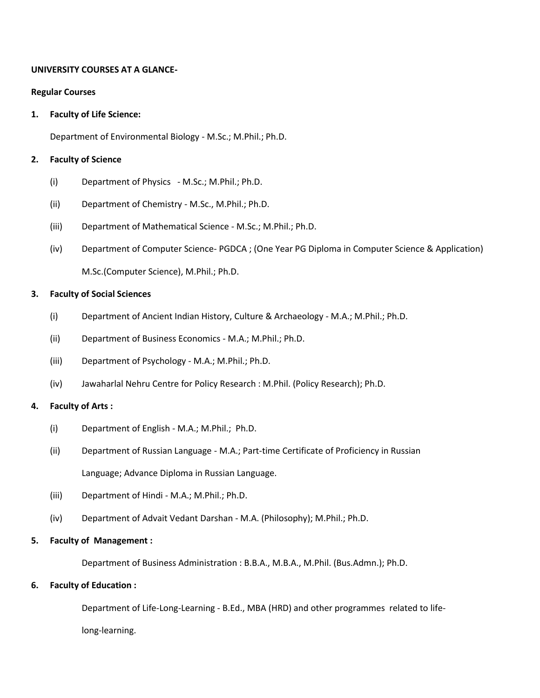## **UNIVERSITY COURSES AT A GLANCE-**

### **Regular Courses**

## **1. Faculty of Life Science:**

Department of Environmental Biology - M.Sc.; M.Phil.; Ph.D.

## **2. Faculty of Science**

- (i) Department of Physics M.Sc.; M.Phil.; Ph.D.
- (ii) Department of Chemistry M.Sc., M.Phil.; Ph.D.
- (iii) Department of Mathematical Science M.Sc.; M.Phil.; Ph.D.
- (iv) Department of Computer Science- PGDCA ; (One Year PG Diploma in Computer Science & Application) M.Sc.(Computer Science), M.Phil.; Ph.D.

## **3. Faculty of Social Sciences**

- (i) Department of Ancient Indian History, Culture & Archaeology M.A.; M.Phil.; Ph.D.
- (ii) Department of Business Economics M.A.; M.Phil.; Ph.D.
- (iii) Department of Psychology M.A.; M.Phil.; Ph.D.
- (iv) Jawaharlal Nehru Centre for Policy Research : M.Phil. (Policy Research); Ph.D.

## **4. Faculty of Arts :**

- (i) Department of English M.A.; M.Phil.; Ph.D.
- (ii) Department of Russian Language M.A.; Part-time Certificate of Proficiency in Russian Language; Advance Diploma in Russian Language.
- (iii) Department of Hindi M.A.; M.Phil.; Ph.D.
- (iv) Department of Advait Vedant Darshan M.A. (Philosophy); M.Phil.; Ph.D.

## **5. Faculty of Management :**

Department of Business Administration : B.B.A., M.B.A., M.Phil. (Bus.Admn.); Ph.D.

## **6. Faculty of Education :**

Department of Life-Long-Learning - B.Ed., MBA (HRD) and other programmes related to life-

long-learning.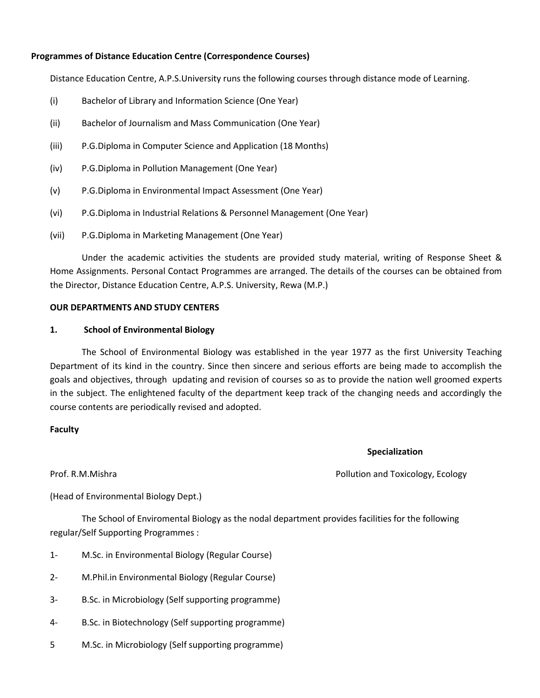## **Programmes of Distance Education Centre (Correspondence Courses)**

Distance Education Centre, A.P.S.University runs the following courses through distance mode of Learning.

- (i) Bachelor of Library and Information Science (One Year)
- (ii) Bachelor of Journalism and Mass Communication (One Year)
- (iii) P.G.Diploma in Computer Science and Application (18 Months)
- (iv) P.G.Diploma in Pollution Management (One Year)
- (v) P.G.Diploma in Environmental Impact Assessment (One Year)
- (vi) P.G.Diploma in Industrial Relations & Personnel Management (One Year)
- (vii) P.G.Diploma in Marketing Management (One Year)

Under the academic activities the students are provided study material, writing of Response Sheet & Home Assignments. Personal Contact Programmes are arranged. The details of the courses can be obtained from the Director, Distance Education Centre, A.P.S. University, Rewa (M.P.)

#### **OUR DEPARTMENTS AND STUDY CENTERS**

#### **1. School of Environmental Biology**

The School of Environmental Biology was established in the year 1977 as the first University Teaching Department of its kind in the country. Since then sincere and serious efforts are being made to accomplish the goals and objectives, through updating and revision of courses so as to provide the nation well groomed experts in the subject. The enlightened faculty of the department keep track of the changing needs and accordingly the course contents are periodically revised and adopted.

### **Faculty**

#### **Specialization**

Prof. R.M.Mishra **Profession Community** Pollution and Toxicology, Ecology

(Head of Environmental Biology Dept.)

The School of Enviromental Biology as the nodal department provides facilities for the following regular/Self Supporting Programmes :

- 1- M.Sc. in Environmental Biology (Regular Course)
- 2- M.Phil.in Environmental Biology (Regular Course)
- 3- B.Sc. in Microbiology (Self supporting programme)
- 4- B.Sc. in Biotechnology (Self supporting programme)
- 5 M.Sc. in Microbiology (Self supporting programme)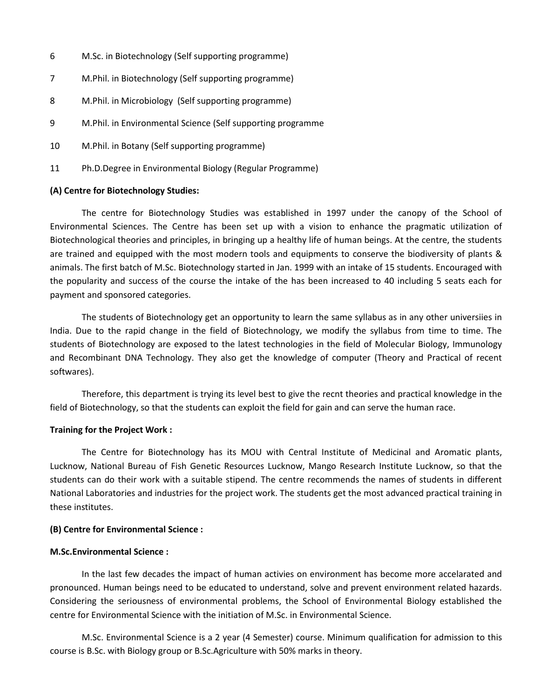- 6 M.Sc. in Biotechnology (Self supporting programme)
- 7 M.Phil. in Biotechnology (Self supporting programme)
- 8 M.Phil. in Microbiology (Self supporting programme)
- 9 M.Phil. in Environmental Science (Self supporting programme
- 10 M.Phil. in Botany (Self supporting programme)
- 11 Ph.D.Degree in Environmental Biology (Regular Programme)

#### **(A) Centre for Biotechnology Studies:**

The centre for Biotechnology Studies was established in 1997 under the canopy of the School of Environmental Sciences. The Centre has been set up with a vision to enhance the pragmatic utilization of Biotechnological theories and principles, in bringing up a healthy life of human beings. At the centre, the students are trained and equipped with the most modern tools and equipments to conserve the biodiversity of plants & animals. The first batch of M.Sc. Biotechnology started in Jan. 1999 with an intake of 15 students. Encouraged with the popularity and success of the course the intake of the has been increased to 40 including 5 seats each for payment and sponsored categories.

The students of Biotechnology get an opportunity to learn the same syllabus as in any other universiies in India. Due to the rapid change in the field of Biotechnology, we modify the syllabus from time to time. The students of Biotechnology are exposed to the latest technologies in the field of Molecular Biology, Immunology and Recombinant DNA Technology. They also get the knowledge of computer (Theory and Practical of recent softwares).

Therefore, this department is trying its level best to give the recnt theories and practical knowledge in the field of Biotechnology, so that the students can exploit the field for gain and can serve the human race.

#### **Training for the Project Work :**

The Centre for Biotechnology has its MOU with Central Institute of Medicinal and Aromatic plants, Lucknow, National Bureau of Fish Genetic Resources Lucknow, Mango Research Institute Lucknow, so that the students can do their work with a suitable stipend. The centre recommends the names of students in different National Laboratories and industries for the project work. The students get the most advanced practical training in these institutes.

#### **(B) Centre for Environmental Science :**

#### **M.Sc.Environmental Science :**

In the last few decades the impact of human activies on environment has become more accelarated and pronounced. Human beings need to be educated to understand, solve and prevent environment related hazards. Considering the seriousness of environmental problems, the School of Environmental Biology established the centre for Environmental Science with the initiation of M.Sc. in Environmental Science.

M.Sc. Environmental Science is a 2 year (4 Semester) course. Minimum qualification for admission to this course is B.Sc. with Biology group or B.Sc.Agriculture with 50% marks in theory.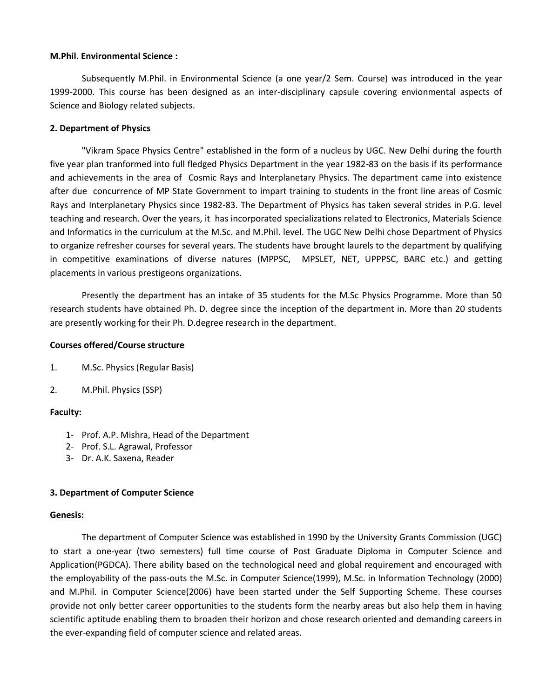#### **M.Phil. Environmental Science :**

Subsequently M.Phil. in Environmental Science (a one year/2 Sem. Course) was introduced in the year 1999-2000. This course has been designed as an inter-disciplinary capsule covering envionmental aspects of Science and Biology related subjects.

## **2. Department of Physics**

"Vikram Space Physics Centre" established in the form of a nucleus by UGC. New Delhi during the fourth five year plan tranformed into full fledged Physics Department in the year 1982-83 on the basis if its performance and achievements in the area of Cosmic Rays and Interplanetary Physics. The department came into existence after due concurrence of MP State Government to impart training to students in the front line areas of Cosmic Rays and Interplanetary Physics since 1982-83. The Department of Physics has taken several strides in P.G. level teaching and research. Over the years, it has incorporated specializations related to Electronics, Materials Science and Informatics in the curriculum at the M.Sc. and M.Phil. level. The UGC New Delhi chose Department of Physics to organize refresher courses for several years. The students have brought laurels to the department by qualifying in competitive examinations of diverse natures (MPPSC, MPSLET, NET, UPPPSC, BARC etc.) and getting placements in various prestigeons organizations.

Presently the department has an intake of 35 students for the M.Sc Physics Programme. More than 50 research students have obtained Ph. D. degree since the inception of the department in. More than 20 students are presently working for their Ph. D.degree research in the department.

### **Courses offered/Course structure**

- 1. M.Sc. Physics (Regular Basis)
- 2. M.Phil. Physics (SSP)

## **Faculty:**

- 1- Prof. A.P. Mishra, Head of the Department
- 2- Prof. S.L. Agrawal, Professor
- 3- Dr. A.K. Saxena, Reader

## **3. Department of Computer Science**

#### **Genesis:**

The department of Computer Science was established in 1990 by the University Grants Commission (UGC) to start a one-year (two semesters) full time course of Post Graduate Diploma in Computer Science and Application(PGDCA). There ability based on the technological need and global requirement and encouraged with the employability of the pass-outs the M.Sc. in Computer Science(1999), M.Sc. in Information Technology (2000) and M.Phil. in Computer Science(2006) have been started under the Self Supporting Scheme. These courses provide not only better career opportunities to the students form the nearby areas but also help them in having scientific aptitude enabling them to broaden their horizon and chose research oriented and demanding careers in the ever-expanding field of computer science and related areas.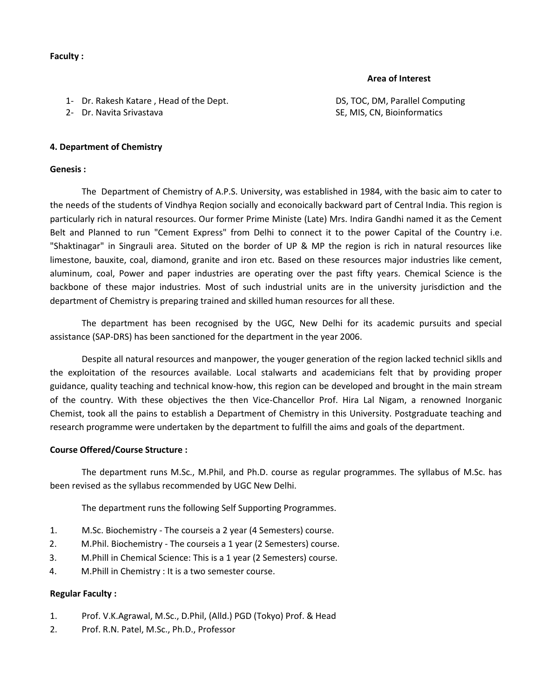#### **Faculty :**

## **Area of Interest**

- 1- Dr. Rakesh Katare , Head of the Dept. DS, TOC, DM, Parallel Computing
- 

2- Dr. Navita Srivastava SE, MIS, CN, Bioinformatics SE, MIS, CN, Bioinformatics

### **4. Department of Chemistry**

#### **Genesis :**

The Department of Chemistry of A.P.S. University, was established in 1984, with the basic aim to cater to the needs of the students of Vindhya Reqion socially and econoically backward part of Central India. This region is particularly rich in natural resources. Our former Prime Ministe (Late) Mrs. Indira Gandhi named it as the Cement Belt and Planned to run "Cement Express" from Delhi to connect it to the power Capital of the Country i.e. "Shaktinagar" in Singrauli area. Situted on the border of UP & MP the region is rich in natural resources like limestone, bauxite, coal, diamond, granite and iron etc. Based on these resources major industries like cement, aluminum, coal, Power and paper industries are operating over the past fifty years. Chemical Science is the backbone of these major industries. Most of such industrial units are in the university jurisdiction and the department of Chemistry is preparing trained and skilled human resources for all these.

The department has been recognised by the UGC, New Delhi for its academic pursuits and special assistance (SAP-DRS) has been sanctioned for the department in the year 2006.

Despite all natural resources and manpower, the youger generation of the region lacked technicl siklls and the exploitation of the resources available. Local stalwarts and academicians felt that by providing proper guidance, quality teaching and technical know-how, this region can be developed and brought in the main stream of the country. With these objectives the then Vice-Chancellor Prof. Hira Lal Nigam, a renowned Inorganic Chemist, took all the pains to establish a Department of Chemistry in this University. Postgraduate teaching and research programme were undertaken by the department to fulfill the aims and goals of the department.

#### **Course Offered/Course Structure :**

The department runs M.Sc., M.Phil, and Ph.D. course as regular programmes. The syllabus of M.Sc. has been revised as the syllabus recommended by UGC New Delhi.

The department runs the following Self Supporting Programmes.

- 1. M.Sc. Biochemistry The courseis a 2 year (4 Semesters) course.
- 2. M.Phil. Biochemistry The courseis a 1 year (2 Semesters) course.
- 3. M.Phill in Chemical Science: This is a 1 year (2 Semesters) course.
- 4. M.Phill in Chemistry : It is a two semester course.

## **Regular Faculty :**

- 1. Prof. V.K.Agrawal, M.Sc., D.Phil, (Alld.) PGD (Tokyo) Prof. & Head
- 2. Prof. R.N. Patel, M.Sc., Ph.D., Professor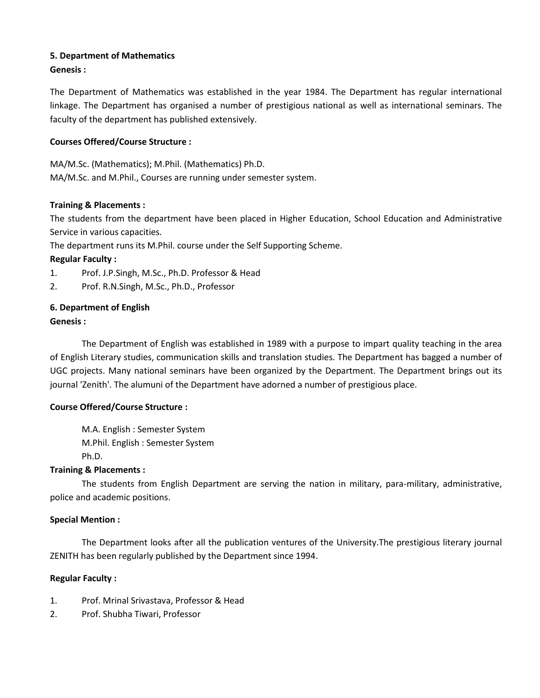## **5. Department of Mathematics**

## **Genesis :**

The Department of Mathematics was established in the year 1984. The Department has regular international linkage. The Department has organised a number of prestigious national as well as international seminars. The faculty of the department has published extensively.

## **Courses Offered/Course Structure :**

MA/M.Sc. (Mathematics); M.Phil. (Mathematics) Ph.D. MA/M.Sc. and M.Phil., Courses are running under semester system.

## **Training & Placements :**

The students from the department have been placed in Higher Education, School Education and Administrative Service in various capacities.

The department runs its M.Phil. course under the Self Supporting Scheme.

## **Regular Faculty :**

- 1. Prof. J.P.Singh, M.Sc., Ph.D. Professor & Head
- 2. Prof. R.N.Singh, M.Sc., Ph.D., Professor

## **6. Department of English**

## **Genesis :**

The Department of English was established in 1989 with a purpose to impart quality teaching in the area of English Literary studies, communication skills and translation studies. The Department has bagged a number of UGC projects. Many national seminars have been organized by the Department. The Department brings out its journal 'Zenith'. The alumuni of the Department have adorned a number of prestigious place.

## **Course Offered/Course Structure :**

M.A. English : Semester System M.Phil. English : Semester System Ph.D.

## **Training & Placements :**

The students from English Department are serving the nation in military, para-military, administrative, police and academic positions.

## **Special Mention :**

The Department looks after all the publication ventures of the University.The prestigious literary journal ZENITH has been regularly published by the Department since 1994.

## **Regular Faculty :**

- 1. Prof. Mrinal Srivastava, Professor & Head
- 2. Prof. Shubha Tiwari, Professor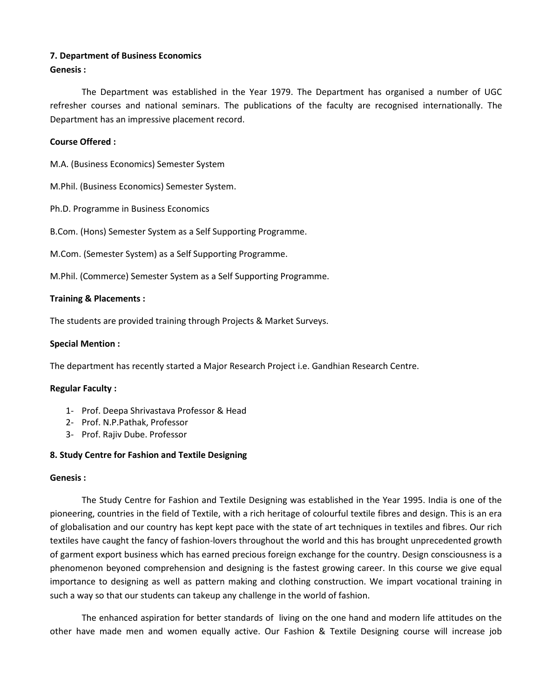## **7. Department of Business Economics**

## **Genesis :**

The Department was established in the Year 1979. The Department has organised a number of UGC refresher courses and national seminars. The publications of the faculty are recognised internationally. The Department has an impressive placement record.

## **Course Offered :**

M.A. (Business Economics) Semester System

M.Phil. (Business Economics) Semester System.

Ph.D. Programme in Business Economics

B.Com. (Hons) Semester System as a Self Supporting Programme.

M.Com. (Semester System) as a Self Supporting Programme.

M.Phil. (Commerce) Semester System as a Self Supporting Programme.

### **Training & Placements :**

The students are provided training through Projects & Market Surveys.

### **Special Mention :**

The department has recently started a Major Research Project i.e. Gandhian Research Centre.

## **Regular Faculty :**

- 1- Prof. Deepa Shrivastava Professor & Head
- 2- Prof. N.P.Pathak, Professor
- 3- Prof. Rajiv Dube. Professor

## **8. Study Centre for Fashion and Textile Designing**

#### **Genesis :**

The Study Centre for Fashion and Textile Designing was established in the Year 1995. India is one of the pioneering, countries in the field of Textile, with a rich heritage of colourful textile fibres and design. This is an era of globalisation and our country has kept kept pace with the state of art techniques in textiles and fibres. Our rich textiles have caught the fancy of fashion-lovers throughout the world and this has brought unprecedented growth of garment export business which has earned precious foreign exchange for the country. Design consciousness is a phenomenon beyoned comprehension and designing is the fastest growing career. In this course we give equal importance to designing as well as pattern making and clothing construction. We impart vocational training in such a way so that our students can takeup any challenge in the world of fashion.

The enhanced aspiration for better standards of living on the one hand and modern life attitudes on the other have made men and women equally active. Our Fashion & Textile Designing course will increase job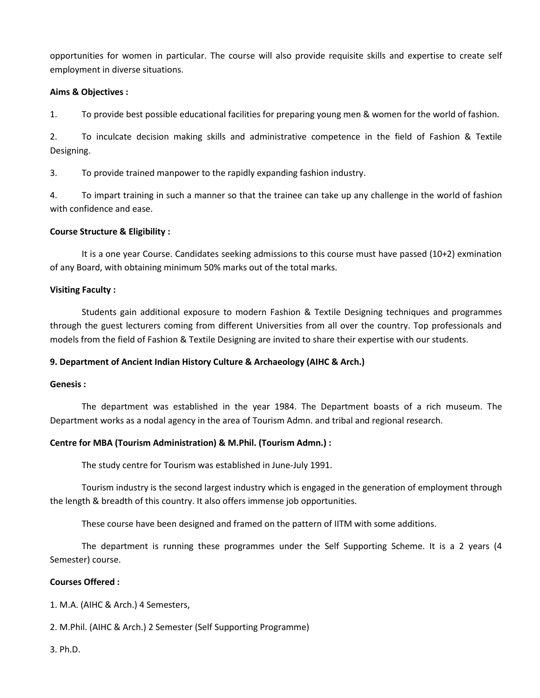opportunities for women in particular. The course will also provide requisite skills and expertise to create self employment in diverse situations.

## **Aims & Objectives :**

1. To provide best possible educational facilities for preparing young men & women for the world of fashion.

2. To inculcate decision making skills and administrative competence in the field of Fashion & Textile Designing.

3. To provide trained manpower to the rapidly expanding fashion industry.

4. To impart training in such a manner so that the trainee can take up any challenge in the world of fashion with confidence and ease.

## **Course Structure & Eligibility :**

It is a one year Course. Candidates seeking admissions to this course must have passed (10+2) exmination of any Board, with obtaining minimum 50% marks out of the total marks.

## **Visiting Faculty :**

Students gain additional exposure to modern Fashion & Textile Designing techniques and programmes through the guest lecturers coming from different Universities from all over the country. Top professionals and models from the field of Fashion & Textile Designing are invited to share their expertise with our students.

## **9. Department of Ancient Indian History Culture & Archaeology (AIHC & Arch.)**

## **Genesis :**

The department was established in the year 1984. The Department boasts of a rich museum. The Department works as a nodal agency in the area of Tourism Admn. and tribal and regional research.

## **Centre for MBA (Tourism Administration) & M.Phil. (Tourism Admn.) :**

The study centre for Tourism was established in June-July 1991.

Tourism industry is the second largest industry which is engaged in the generation of employment through the length & breadth of this country. It also offers immense job opportunities.

These course have been designed and framed on the pattern of IITM with some additions.

The department is running these programmes under the Self Supporting Scheme. It is a 2 years (4 Semester) course.

## **Courses Offered :**

1. M.A. (AIHC & Arch.) 4 Semesters,

2. M.Phil. (AIHC & Arch.) 2 Semester (Self Supporting Programme)

3. Ph.D.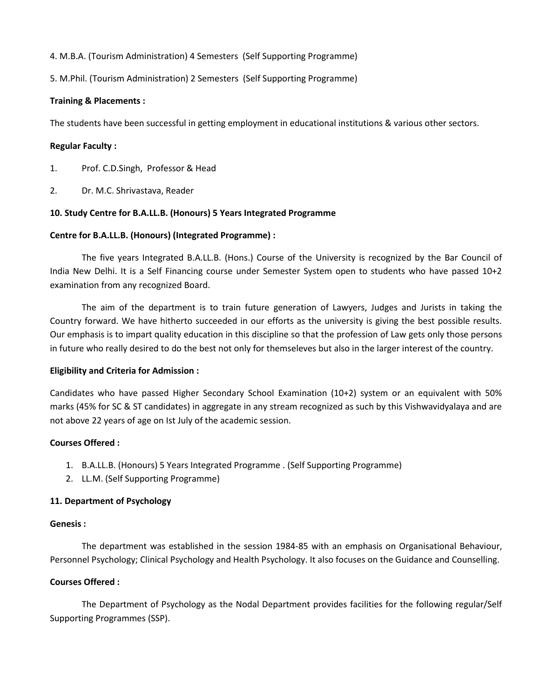## 4. M.B.A. (Tourism Administration) 4 Semesters (Self Supporting Programme)

## 5. M.Phil. (Tourism Administration) 2 Semesters (Self Supporting Programme)

## **Training & Placements :**

The students have been successful in getting employment in educational institutions & various other sectors.

## **Regular Faculty :**

- 1. Prof. C.D.Singh, Professor & Head
- 2. Dr. M.C. Shrivastava, Reader

## **10. Study Centre for B.A.LL.B. (Honours) 5 Years Integrated Programme**

## **Centre for B.A.LL.B. (Honours) (Integrated Programme) :**

The five years Integrated B.A.LL.B. (Hons.) Course of the University is recognized by the Bar Council of India New Delhi. It is a Self Financing course under Semester System open to students who have passed 10+2 examination from any recognized Board.

The aim of the department is to train future generation of Lawyers, Judges and Jurists in taking the Country forward. We have hitherto succeeded in our efforts as the university is giving the best possible results. Our emphasis is to impart quality education in this discipline so that the profession of Law gets only those persons in future who really desired to do the best not only for themseleves but also in the larger interest of the country.

## **Eligibility and Criteria for Admission :**

Candidates who have passed Higher Secondary School Examination (10+2) system or an equivalent with 50% marks (45% for SC & ST candidates) in aggregate in any stream recognized as such by this Vishwavidyalaya and are not above 22 years of age on Ist July of the academic session.

## **Courses Offered :**

- 1. B.A.LL.B. (Honours) 5 Years Integrated Programme . (Self Supporting Programme)
- 2. LL.M. (Self Supporting Programme)

## **11. Department of Psychology**

#### **Genesis :**

The department was established in the session 1984-85 with an emphasis on Organisational Behaviour, Personnel Psychology; Clinical Psychology and Health Psychology. It also focuses on the Guidance and Counselling.

## **Courses Offered :**

The Department of Psychology as the Nodal Department provides facilities for the following regular/Self Supporting Programmes (SSP).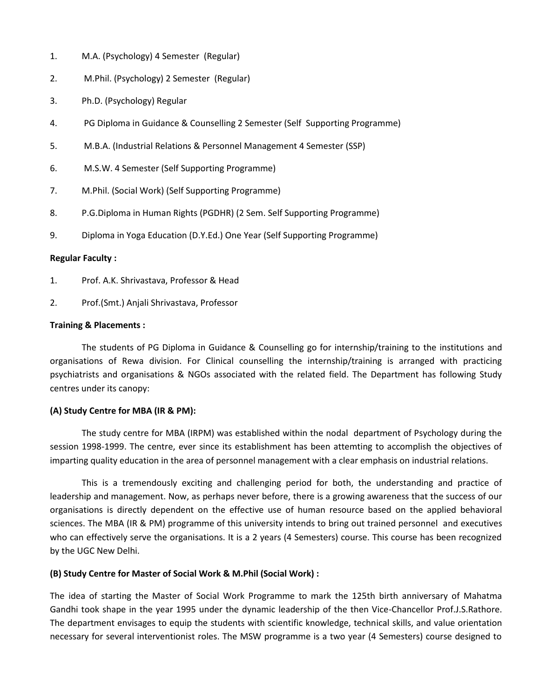- 1. M.A. (Psychology) 4 Semester (Regular)
- 2. M.Phil. (Psychology) 2 Semester (Regular)
- 3. Ph.D. (Psychology) Regular
- 4. PG Diploma in Guidance & Counselling 2 Semester (Self Supporting Programme)
- 5. M.B.A. (Industrial Relations & Personnel Management 4 Semester (SSP)
- 6. M.S.W. 4 Semester (Self Supporting Programme)
- 7. M.Phil. (Social Work) (Self Supporting Programme)
- 8. P.G.Diploma in Human Rights (PGDHR) (2 Sem. Self Supporting Programme)
- 9. Diploma in Yoga Education (D.Y.Ed.) One Year (Self Supporting Programme)

### **Regular Faculty :**

- 1. Prof. A.K. Shrivastava, Professor & Head
- 2. Prof.(Smt.) Anjali Shrivastava, Professor

### **Training & Placements :**

The students of PG Diploma in Guidance & Counselling go for internship/training to the institutions and organisations of Rewa division. For Clinical counselling the internship/training is arranged with practicing psychiatrists and organisations & NGOs associated with the related field. The Department has following Study centres under its canopy:

## **(A) Study Centre for MBA (IR & PM):**

The study centre for MBA (IRPM) was established within the nodal department of Psychology during the session 1998-1999. The centre, ever since its establishment has been attemting to accomplish the objectives of imparting quality education in the area of personnel management with a clear emphasis on industrial relations.

This is a tremendously exciting and challenging period for both, the understanding and practice of leadership and management. Now, as perhaps never before, there is a growing awareness that the success of our organisations is directly dependent on the effective use of human resource based on the applied behavioral sciences. The MBA (IR & PM) programme of this university intends to bring out trained personnel and executives who can effectively serve the organisations. It is a 2 years (4 Semesters) course. This course has been recognized by the UGC New Delhi.

## **(B) Study Centre for Master of Social Work & M.Phil (Social Work) :**

The idea of starting the Master of Social Work Programme to mark the 125th birth anniversary of Mahatma Gandhi took shape in the year 1995 under the dynamic leadership of the then Vice-Chancellor Prof.J.S.Rathore. The department envisages to equip the students with scientific knowledge, technical skills, and value orientation necessary for several interventionist roles. The MSW programme is a two year (4 Semesters) course designed to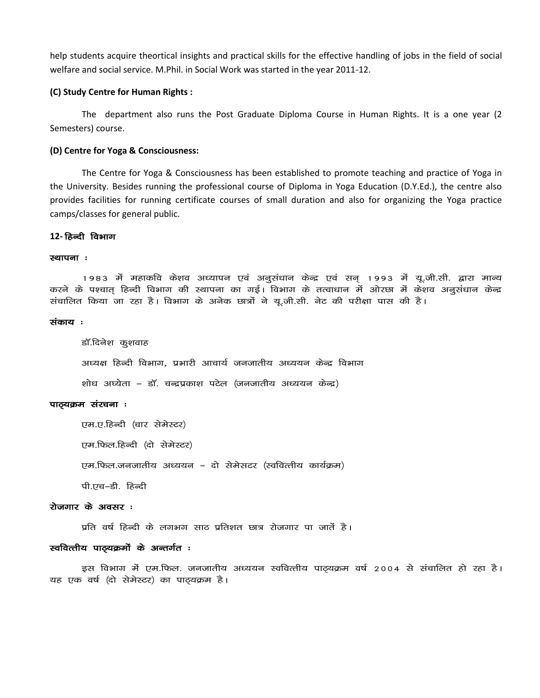help students acquire theortical insights and practical skills for the effective handling of jobs in the field of social welfare and social service. M.Phil. in Social Work was started in the year 2011-12.

#### **(C) Study Centre for Human Rights :**

The department also runs the Post Graduate Diploma Course in Human Rights. It is a one year (2 Semesters) course.

#### **(D) Centre for Yoga & Consciousness:**

The Centre for Yoga & Consciousness has been established to promote teaching and practice of Yoga in the University. Besides running the professional course of Diploma in Yoga Education (D.Y.Ed.), the centre also provides facilities for running certificate courses of small duration and also for organizing the Yoga practice camps/classes for general public.

### 12- हिन्दी विभाग

#### स्थापना**ः**

1983 में महाकवि केशव अध्यापन एवं अनुसंधान केन्द्र एवं सन् 1993 में यू.जी.सी. द्वारा मान्य करने के पश्चात् हिन्दी विभाग की स्थापना का गई। विभाग के तत्वाधान में ओरछा में केशव अनुसंधान केन्द्र संचालित किया जा रहा है। विभाग के अनेक छात्रों ने यू.जी.सी. नेट की परीक्षा पास की है।

#### संकाय :

डॉ.दिनेश कुशवाह अध्यक्ष हिन्दी विभाग, प्रभारी आचार्य जनजातीय अध्ययन केन्द्र विभाग शोध अघ्येता – डॉ. चन्द्रप्रकाश पटेल (जनजातीय अध्ययन केन्द्र)

#### पाठ्यक्रम संरचना :

एम.ए.हिन्दी (चार सेमेस्टर) एम.फिल.हिन्दी (दो सेमेस्टर)

एम.फिल.जनजातीय अध्ययन – दो सेमेसटर (स्ववित्तीय कार्यक्रम)

पी.एच $-\hat{\mathbf{s}}$ ी. हिन्दी

### रोजगार के अवसर :

प्रति वर्ष हिन्दी के लगभग साठ प्रतिशत छात्र रोजगार पा जातें है।

#### स्ववित्तीय पाठ्यक्रमों के अन्तर्गत :

इस विभाग में एम.फिल. जनजातीय अध्ययन स्ववित्तीय पाठ्यक्रम वर्ष 2004 से संचालित हो रहा है। यह एक वर्ष (दो सेमेस्टर) का पाठ्यक्रम है।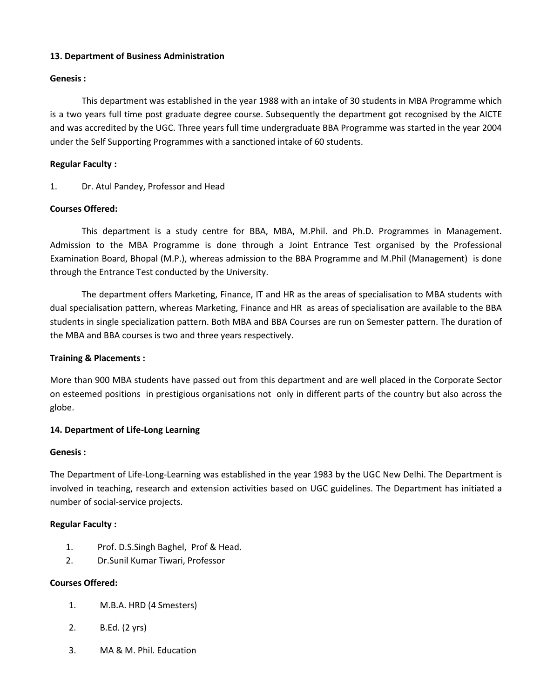## **13. Department of Business Administration**

## **Genesis :**

This department was established in the year 1988 with an intake of 30 students in MBA Programme which is a two years full time post graduate degree course. Subsequently the department got recognised by the AICTE and was accredited by the UGC. Three years full time undergraduate BBA Programme was started in the year 2004 under the Self Supporting Programmes with a sanctioned intake of 60 students.

## **Regular Faculty :**

1. Dr. Atul Pandey, Professor and Head

## **Courses Offered:**

This department is a study centre for BBA, MBA, M.Phil. and Ph.D. Programmes in Management. Admission to the MBA Programme is done through a Joint Entrance Test organised by the Professional Examination Board, Bhopal (M.P.), whereas admission to the BBA Programme and M.Phil (Management) is done through the Entrance Test conducted by the University.

The department offers Marketing, Finance, IT and HR as the areas of specialisation to MBA students with dual specialisation pattern, whereas Marketing, Finance and HR as areas of specialisation are available to the BBA students in single specialization pattern. Both MBA and BBA Courses are run on Semester pattern. The duration of the MBA and BBA courses is two and three years respectively.

## **Training & Placements :**

More than 900 MBA students have passed out from this department and are well placed in the Corporate Sector on esteemed positions in prestigious organisations not only in different parts of the country but also across the globe.

## **14. Department of Life-Long Learning**

## **Genesis :**

The Department of Life-Long-Learning was established in the year 1983 by the UGC New Delhi. The Department is involved in teaching, research and extension activities based on UGC guidelines. The Department has initiated a number of social-service projects.

## **Regular Faculty :**

- 1. Prof. D.S.Singh Baghel, Prof & Head.
- 2. Dr.Sunil Kumar Tiwari, Professor

## **Courses Offered:**

- 1. M.B.A. HRD (4 Smesters)
- 2. B.Ed. (2 yrs)
- 3. MA & M. Phil. Education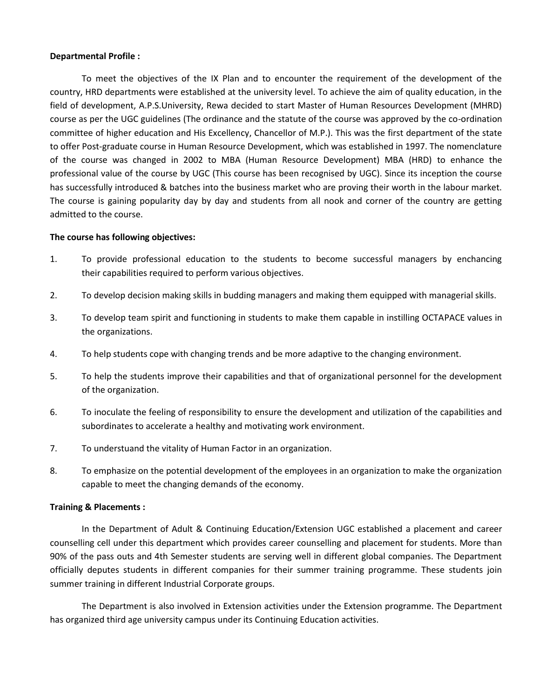## **Departmental Profile :**

To meet the objectives of the IX Plan and to encounter the requirement of the development of the country, HRD departments were established at the university level. To achieve the aim of quality education, in the field of development, A.P.S.University, Rewa decided to start Master of Human Resources Development (MHRD) course as per the UGC guidelines (The ordinance and the statute of the course was approved by the co-ordination committee of higher education and His Excellency, Chancellor of M.P.). This was the first department of the state to offer Post-graduate course in Human Resource Development, which was established in 1997. The nomenclature of the course was changed in 2002 to MBA (Human Resource Development) MBA (HRD) to enhance the professional value of the course by UGC (This course has been recognised by UGC). Since its inception the course has successfully introduced & batches into the business market who are proving their worth in the labour market. The course is gaining popularity day by day and students from all nook and corner of the country are getting admitted to the course.

### **The course has following objectives:**

- 1. To provide professional education to the students to become successful managers by enchancing their capabilities required to perform various objectives.
- 2. To develop decision making skills in budding managers and making them equipped with managerial skills.
- 3. To develop team spirit and functioning in students to make them capable in instilling OCTAPACE values in the organizations.
- 4. To help students cope with changing trends and be more adaptive to the changing environment.
- 5. To help the students improve their capabilities and that of organizational personnel for the development of the organization.
- 6. To inoculate the feeling of responsibility to ensure the development and utilization of the capabilities and subordinates to accelerate a healthy and motivating work environment.
- 7. To understuand the vitality of Human Factor in an organization.
- 8. To emphasize on the potential development of the employees in an organization to make the organization capable to meet the changing demands of the economy.

## **Training & Placements :**

In the Department of Adult & Continuing Education/Extension UGC established a placement and career counselling cell under this department which provides career counselling and placement for students. More than 90% of the pass outs and 4th Semester students are serving well in different global companies. The Department officially deputes students in different companies for their summer training programme. These students join summer training in different Industrial Corporate groups.

The Department is also involved in Extension activities under the Extension programme. The Department has organized third age university campus under its Continuing Education activities.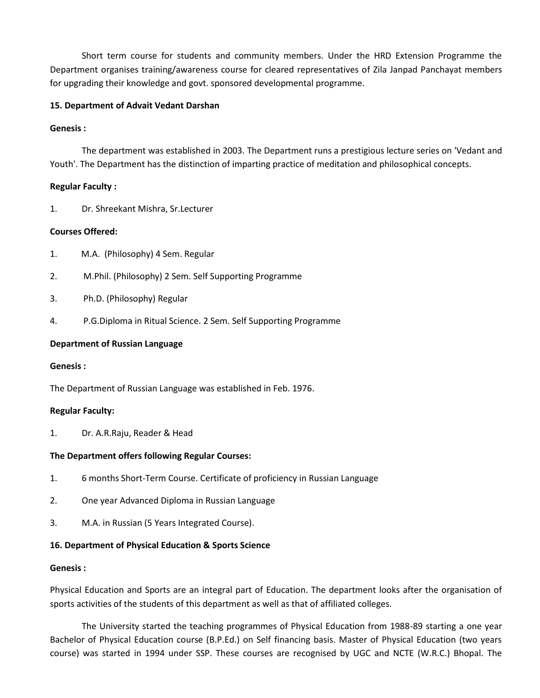Short term course for students and community members. Under the HRD Extension Programme the Department organises training/awareness course for cleared representatives of Zila Janpad Panchayat members for upgrading their knowledge and govt. sponsored developmental programme.

## **15. Department of Advait Vedant Darshan**

## **Genesis :**

The department was established in 2003. The Department runs a prestigious lecture series on 'Vedant and Youth'. The Department has the distinction of imparting practice of meditation and philosophical concepts.

## **Regular Faculty :**

1. Dr. Shreekant Mishra, Sr.Lecturer

## **Courses Offered:**

- 1. M.A. (Philosophy) 4 Sem. Regular
- 2. M.Phil. (Philosophy) 2 Sem. Self Supporting Programme
- 3. Ph.D. (Philosophy) Regular
- 4. P.G.Diploma in Ritual Science. 2 Sem. Self Supporting Programme

## **Department of Russian Language**

## **Genesis :**

The Department of Russian Language was established in Feb. 1976.

## **Regular Faculty:**

1. Dr. A.R.Raju, Reader & Head

## **The Department offers following Regular Courses:**

- 1. 6 months Short-Term Course. Certificate of proficiency in Russian Language
- 2. One year Advanced Diploma in Russian Language
- 3. M.A. in Russian (5 Years Integrated Course).

## **16. Department of Physical Education & Sports Science**

## **Genesis :**

Physical Education and Sports are an integral part of Education. The department looks after the organisation of sports activities of the students of this department as well as that of affiliated colleges.

The University started the teaching programmes of Physical Education from 1988-89 starting a one year Bachelor of Physical Education course (B.P.Ed.) on Self financing basis. Master of Physical Education (two years course) was started in 1994 under SSP. These courses are recognised by UGC and NCTE (W.R.C.) Bhopal. The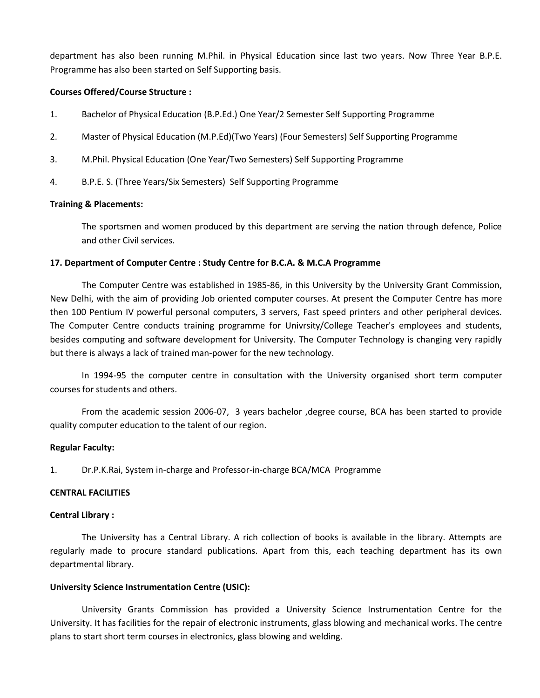department has also been running M.Phil. in Physical Education since last two years. Now Three Year B.P.E. Programme has also been started on Self Supporting basis.

## **Courses Offered/Course Structure :**

- 1. Bachelor of Physical Education (B.P.Ed.) One Year/2 Semester Self Supporting Programme
- 2. Master of Physical Education (M.P.Ed)(Two Years) (Four Semesters) Self Supporting Programme
- 3. M.Phil. Physical Education (One Year/Two Semesters) Self Supporting Programme
- 4. B.P.E. S. (Three Years/Six Semesters) Self Supporting Programme

#### **Training & Placements:**

The sportsmen and women produced by this department are serving the nation through defence, Police and other Civil services.

#### **17. Department of Computer Centre : Study Centre for B.C.A. & M.C.A Programme**

The Computer Centre was established in 1985-86, in this University by the University Grant Commission, New Delhi, with the aim of providing Job oriented computer courses. At present the Computer Centre has more then 100 Pentium IV powerful personal computers, 3 servers, Fast speed printers and other peripheral devices. The Computer Centre conducts training programme for Univrsity/College Teacher's employees and students, besides computing and software development for University. The Computer Technology is changing very rapidly but there is always a lack of trained man-power for the new technology.

In 1994-95 the computer centre in consultation with the University organised short term computer courses for students and others.

From the academic session 2006-07, 3 years bachelor ,degree course, BCA has been started to provide quality computer education to the talent of our region.

#### **Regular Faculty:**

1. Dr.P.K.Rai, System in-charge and Professor-in-charge BCA/MCA Programme

#### **CENTRAL FACILITIES**

#### **Central Library :**

The University has a Central Library. A rich collection of books is available in the library. Attempts are regularly made to procure standard publications. Apart from this, each teaching department has its own departmental library.

#### **University Science Instrumentation Centre (USIC):**

University Grants Commission has provided a University Science Instrumentation Centre for the University. It has facilities for the repair of electronic instruments, glass blowing and mechanical works. The centre plans to start short term courses in electronics, glass blowing and welding.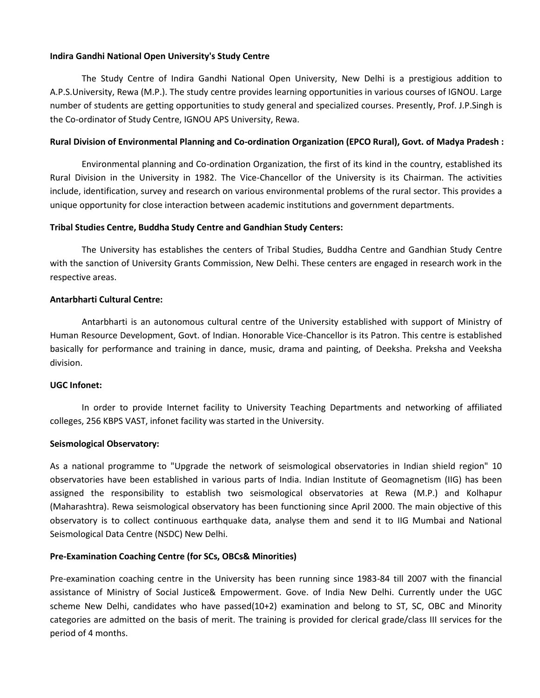## **Indira Gandhi National Open University's Study Centre**

The Study Centre of Indira Gandhi National Open University, New Delhi is a prestigious addition to A.P.S.University, Rewa (M.P.). The study centre provides learning opportunities in various courses of IGNOU. Large number of students are getting opportunities to study general and specialized courses. Presently, Prof. J.P.Singh is the Co-ordinator of Study Centre, IGNOU APS University, Rewa.

### **Rural Division of Environmental Planning and Co-ordination Organization (EPCO Rural), Govt. of Madya Pradesh :**

Environmental planning and Co-ordination Organization, the first of its kind in the country, established its Rural Division in the University in 1982. The Vice-Chancellor of the University is its Chairman. The activities include, identification, survey and research on various environmental problems of the rural sector. This provides a unique opportunity for close interaction between academic institutions and government departments.

### **Tribal Studies Centre, Buddha Study Centre and Gandhian Study Centers:**

The University has establishes the centers of Tribal Studies, Buddha Centre and Gandhian Study Centre with the sanction of University Grants Commission, New Delhi. These centers are engaged in research work in the respective areas.

#### **Antarbharti Cultural Centre:**

Antarbharti is an autonomous cultural centre of the University established with support of Ministry of Human Resource Development, Govt. of Indian. Honorable Vice-Chancellor is its Patron. This centre is established basically for performance and training in dance, music, drama and painting, of Deeksha. Preksha and Veeksha division.

#### **UGC Infonet:**

In order to provide Internet facility to University Teaching Departments and networking of affiliated colleges, 256 KBPS VAST, infonet facility was started in the University.

#### **Seismological Observatory:**

As a national programme to "Upgrade the network of seismological observatories in Indian shield region" 10 observatories have been established in various parts of India. Indian Institute of Geomagnetism (IIG) has been assigned the responsibility to establish two seismological observatories at Rewa (M.P.) and Kolhapur (Maharashtra). Rewa seismological observatory has been functioning since April 2000. The main objective of this observatory is to collect continuous earthquake data, analyse them and send it to IIG Mumbai and National Seismological Data Centre (NSDC) New Delhi.

#### **Pre-Examination Coaching Centre (for SCs, OBCs& Minorities)**

Pre-examination coaching centre in the University has been running since 1983-84 till 2007 with the financial assistance of Ministry of Social Justice& Empowerment. Gove. of India New Delhi. Currently under the UGC scheme New Delhi, candidates who have passed(10+2) examination and belong to ST, SC, OBC and Minority categories are admitted on the basis of merit. The training is provided for clerical grade/class III services for the period of 4 months.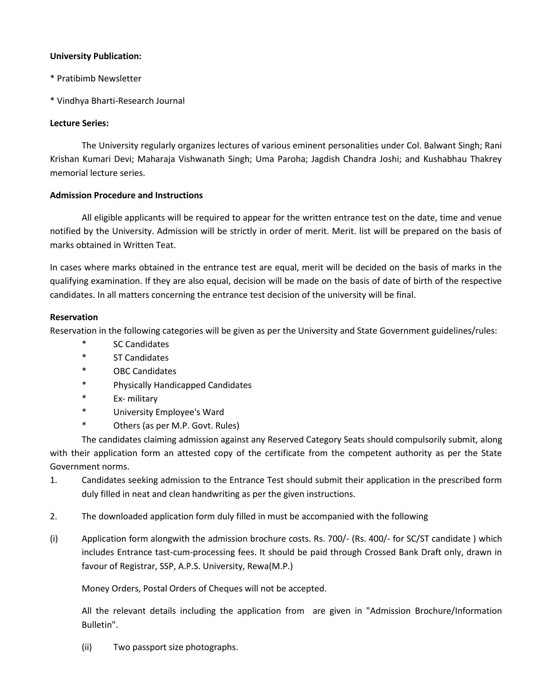## **University Publication:**

- \* Pratibimb Newsletter
- \* Vindhya Bharti-Research Journal

## **Lecture Series:**

The University regularly organizes lectures of various eminent personalities under Col. Balwant Singh; Rani Krishan Kumari Devi; Maharaja Vishwanath Singh; Uma Paroha; Jagdish Chandra Joshi; and Kushabhau Thakrey memorial lecture series.

## **Admission Procedure and Instructions**

All eligible applicants will be required to appear for the written entrance test on the date, time and venue notified by the University. Admission will be strictly in order of merit. Merit. list will be prepared on the basis of marks obtained in Written Teat.

In cases where marks obtained in the entrance test are equal, merit will be decided on the basis of marks in the qualifying examination. If they are also equal, decision will be made on the basis of date of birth of the respective candidates. In all matters concerning the entrance test decision of the university will be final.

## **Reservation**

Reservation in the following categories will be given as per the University and State Government guidelines/rules:

- **SC Candidates**
- \* ST Candidates
- \* OBC Candidates
- \* Physically Handicapped Candidates
- \* Ex- military
- \* University Employee's Ward
- \* Others (as per M.P. Govt. Rules)

The candidates claiming admission against any Reserved Category Seats should compulsorily submit, along with their application form an attested copy of the certificate from the competent authority as per the State Government norms.

- 1. Candidates seeking admission to the Entrance Test should submit their application in the prescribed form duly filled in neat and clean handwriting as per the given instructions.
- 2. The downloaded application form duly filled in must be accompanied with the following
- (i) Application form alongwith the admission brochure costs. Rs. 700/- (Rs. 400/- for SC/ST candidate ) which includes Entrance tast-cum-processing fees. It should be paid through Crossed Bank Draft only, drawn in favour of Registrar, SSP, A.P.S. University, Rewa(M.P.)

Money Orders, Postal Orders of Cheques will not be accepted.

All the relevant details including the application from are given in "Admission Brochure/Information Bulletin".

(ii) Two passport size photographs.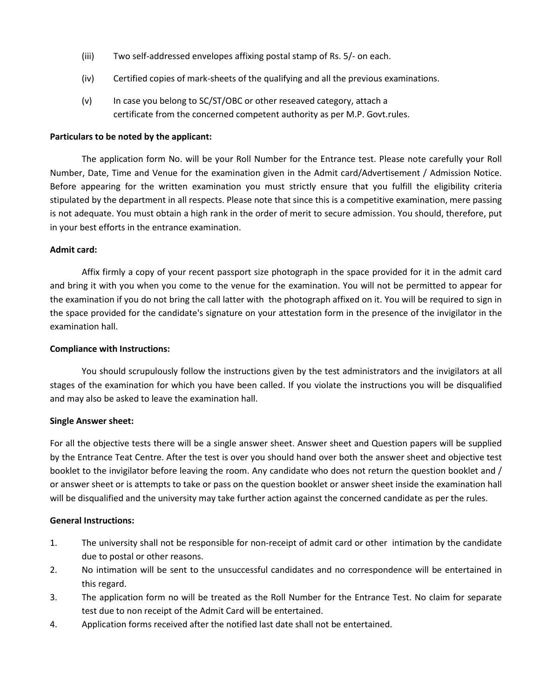- (iii) Two self-addressed envelopes affixing postal stamp of Rs. 5/- on each.
- (iv) Certified copies of mark-sheets of the qualifying and all the previous examinations.
- (v) In case you belong to SC/ST/OBC or other reseaved category, attach a certificate from the concerned competent authority as per M.P. Govt.rules.

### **Particulars to be noted by the applicant:**

The application form No. will be your Roll Number for the Entrance test. Please note carefully your Roll Number, Date, Time and Venue for the examination given in the Admit card/Advertisement / Admission Notice. Before appearing for the written examination you must strictly ensure that you fulfill the eligibility criteria stipulated by the department in all respects. Please note that since this is a competitive examination, mere passing is not adequate. You must obtain a high rank in the order of merit to secure admission. You should, therefore, put in your best efforts in the entrance examination.

### **Admit card:**

Affix firmly a copy of your recent passport size photograph in the space provided for it in the admit card and bring it with you when you come to the venue for the examination. You will not be permitted to appear for the examination if you do not bring the call latter with the photograph affixed on it. You will be required to sign in the space provided for the candidate's signature on your attestation form in the presence of the invigilator in the examination hall.

#### **Compliance with Instructions:**

You should scrupulously follow the instructions given by the test administrators and the invigilators at all stages of the examination for which you have been called. If you violate the instructions you will be disqualified and may also be asked to leave the examination hall.

#### **Single Answer sheet:**

For all the objective tests there will be a single answer sheet. Answer sheet and Question papers will be supplied by the Entrance Teat Centre. After the test is over you should hand over both the answer sheet and objective test booklet to the invigilator before leaving the room. Any candidate who does not return the question booklet and / or answer sheet or is attempts to take or pass on the question booklet or answer sheet inside the examination hall will be disqualified and the university may take further action against the concerned candidate as per the rules.

#### **General Instructions:**

- 1. The university shall not be responsible for non-receipt of admit card or other intimation by the candidate due to postal or other reasons.
- 2. No intimation will be sent to the unsuccessful candidates and no correspondence will be entertained in this regard.
- 3. The application form no will be treated as the Roll Number for the Entrance Test. No claim for separate test due to non receipt of the Admit Card will be entertained.
- 4. Application forms received after the notified last date shall not be entertained.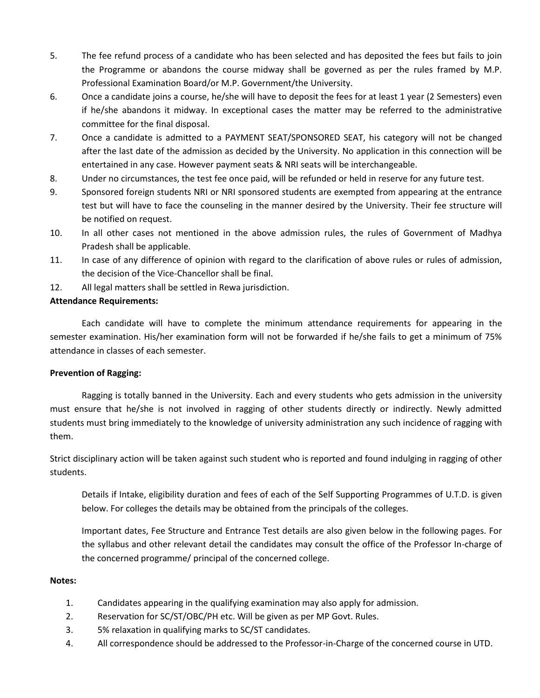- 5. The fee refund process of a candidate who has been selected and has deposited the fees but fails to join the Programme or abandons the course midway shall be governed as per the rules framed by M.P. Professional Examination Board/or M.P. Government/the University.
- 6. Once a candidate joins a course, he/she will have to deposit the fees for at least 1 year (2 Semesters) even if he/she abandons it midway. In exceptional cases the matter may be referred to the administrative committee for the final disposal.
- 7. Once a candidate is admitted to a PAYMENT SEAT/SPONSORED SEAT, his category will not be changed after the last date of the admission as decided by the University. No application in this connection will be entertained in any case. However payment seats & NRI seats will be interchangeable.
- 8. Under no circumstances, the test fee once paid, will be refunded or held in reserve for any future test.
- 9. Sponsored foreign students NRI or NRI sponsored students are exempted from appearing at the entrance test but will have to face the counseling in the manner desired by the University. Their fee structure will be notified on request.
- 10. In all other cases not mentioned in the above admission rules, the rules of Government of Madhya Pradesh shall be applicable.
- 11. In case of any difference of opinion with regard to the clarification of above rules or rules of admission, the decision of the Vice-Chancellor shall be final.
- 12. All legal matters shall be settled in Rewa jurisdiction.

## **Attendance Requirements:**

Each candidate will have to complete the minimum attendance requirements for appearing in the semester examination. His/her examination form will not be forwarded if he/she fails to get a minimum of 75% attendance in classes of each semester.

## **Prevention of Ragging:**

Ragging is totally banned in the University. Each and every students who gets admission in the university must ensure that he/she is not involved in ragging of other students directly or indirectly. Newly admitted students must bring immediately to the knowledge of university administration any such incidence of ragging with them.

Strict disciplinary action will be taken against such student who is reported and found indulging in ragging of other students.

Details if Intake, eligibility duration and fees of each of the Self Supporting Programmes of U.T.D. is given below. For colleges the details may be obtained from the principals of the colleges.

Important dates, Fee Structure and Entrance Test details are also given below in the following pages. For the syllabus and other relevant detail the candidates may consult the office of the Professor In-charge of the concerned programme/ principal of the concerned college.

## **Notes:**

- 1. Candidates appearing in the qualifying examination may also apply for admission.
- 2. Reservation for SC/ST/OBC/PH etc. Will be given as per MP Govt. Rules.
- 3. 5% relaxation in qualifying marks to SC/ST candidates.
- 4. All correspondence should be addressed to the Professor-in-Charge of the concerned course in UTD.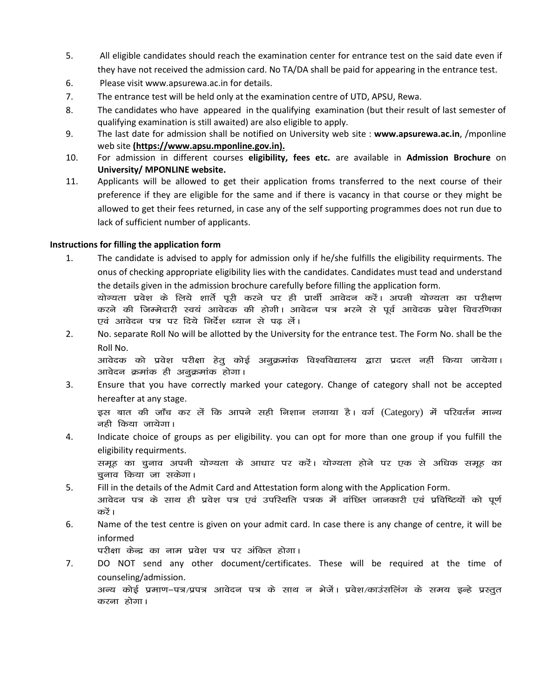- 5. All eligible candidates should reach the examination center for entrance test on the said date even if they have not received the admission card. No TA/DA shall be paid for appearing in the entrance test.
- 6. Please visit www.apsurewa.ac.in for details.
- 7. The entrance test will be held only at the examination centre of UTD, APSU, Rewa.
- 8. The candidates who have appeared in the qualifying examination (but their result of last semester of qualifying examination is still awaited) are also eligible to apply.
- 9. The last date for admission shall be notified on University web site : **www.apsurewa.ac.in**, /mponline web site **(https://www.apsu.mponline.gov.in).**
- 10. For admission in different courses **eligibility, fees etc.** are available in **Admission Brochure** on **University/ MPONLINE website.**
- 11. Applicants will be allowed to get their application froms transferred to the next course of their preference if they are eligible for the same and if there is vacancy in that course or they might be allowed to get their fees returned, in case any of the self supporting programmes does not run due to lack of sufficient number of applicants.

## **Instructions for filling the application form**

- 1. The candidate is advised to apply for admission only if he/she fulfills the eligibility requirments. The onus of checking appropriate eligibility lies with the candidates. Candidates must tead and understand the details given in the admission brochure carefully before filling the application form. योग्यता प्रवेश के लिये शार्ते पूरी करने पर ही प्रार्थी आवेदन करें। अपनी योग्यता का परीक्षण करने की जिम्मेदारी स्वयं आवेदक की होगी। आवेदन पत्र भरने से पूर्व आवेदक प्रवेश विवरणिका एवं आवेदन पत्र पर दिये निर्देश ध्यान से पढ लें।
- 2. No. separate Roll No will be allotted by the University for the entrance test. The Form No. shall be the Roll No.

आवेदक को प्रवेश परीक्षा हेतु कोई अनुक्रमांक विश्वविद्यालय द्वारा प्रदत्त नहीं किया जायेगा। आवेदन क्रमांक ही अनुक्रमांक होगा।

3. Ensure that you have correctly marked your category. Change of category shall not be accepted hereafter at any stage.

इस बात की जाँच कर लें कि आपने सही निशान लगाया है। वर्ग (Category) में परिवर्तन मान्य नही किया जायेगा।

- 4. Indicate choice of groups as per eligibility. you can opt for more than one group if you fulfill the eligibility requirments. समूह का चुनाव अपनी योग्यता के आधार पर करें। योग्यता होने पर एक से अधिक समूह का चूनाव किया जा सकेगा।
- 5. Fill in the details of the Admit Card and Attestation form along with the Application Form.
- आवेदन पत्र के साथ ही प्रवेश पत्र एवं उपस्थिति पत्रक में वांछित जानकारी एवं प्रविष्टियों को पूर्ण करें।
- 6. Name of the test centre is given on your admit card. In case there is any change of centre, it will be informed

परीक्षा केन्द्र का नाम प्रवेश पत्र पर अंकित होगा।

7. DO NOT send any other document/certificates. These will be required at the time of counseling/admission. अन्य कोई प्रमाण–पत्र/प्रपत्र आवेदन पत्र के साथ न भेजें। प्रवेश/काउंसलिंग के समय इन्हे प्रस्तुत करना होगा।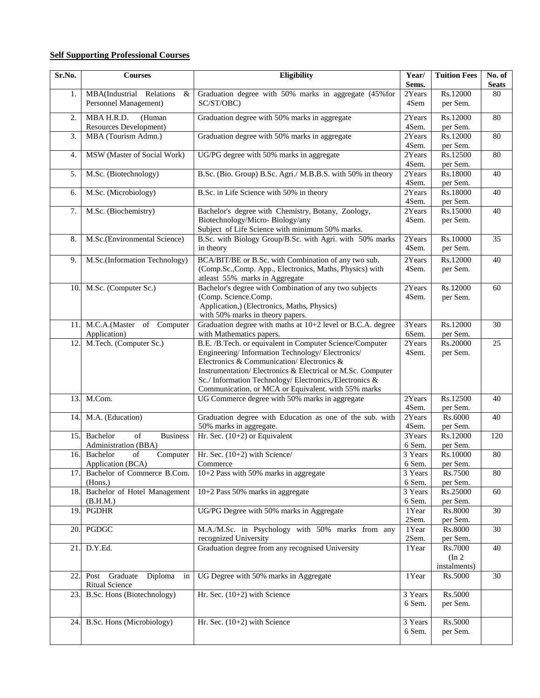## **Self Supporting Professional Courses**

| Sr.No. | <b>Courses</b>                                            | Eligibility                                                                                                                                                                                                                                                                                                                            |                                        | <b>Tuition Fees</b>               | No. of<br><b>Seats</b> |
|--------|-----------------------------------------------------------|----------------------------------------------------------------------------------------------------------------------------------------------------------------------------------------------------------------------------------------------------------------------------------------------------------------------------------------|----------------------------------------|-----------------------------------|------------------------|
| 1.     | MBA(Industrial Relations<br>&<br>Personnel Management)    | Graduation degree with 50% marks in aggregate (45% for<br>2Years<br>SC/ST/OBC)                                                                                                                                                                                                                                                         |                                        | Rs.12000<br>per Sem.              | 80                     |
| 2.     | MBA H.R.D.<br>(Human<br>Resources Development)            | Graduation degree with 50% marks in aggregate                                                                                                                                                                                                                                                                                          | 2Years<br>4Sem.                        | Rs.12000<br>per Sem.              | 80                     |
| 3.     | MBA (Tourism Admn.)                                       | Graduation degree with 50% marks in aggregate                                                                                                                                                                                                                                                                                          | 2Years<br>4Sem.                        | Rs.12000<br>per Sem.              | 80                     |
| 4.     | MSW (Master of Social Work)                               | UG/PG degree with 50% marks in aggregate                                                                                                                                                                                                                                                                                               | 2Years<br>4Sem.                        | Rs.12500<br>per Sem.              | 80                     |
| 5.     | M.Sc. (Biotechnology)                                     | B.Sc. (Bio. Group) B.Sc. Agri./ M.B.B.S. with 50% in theory                                                                                                                                                                                                                                                                            | 2Years<br>4Sem.                        | Rs.18000<br>per Sem.              | 40                     |
| 6.     | M.Sc. (Microbiology)                                      | B.Sc. in Life Science with 50% in theory                                                                                                                                                                                                                                                                                               | 2Years<br>4Sem.                        | Rs.18000<br>per Sem.              | 40                     |
| 7.     | M.Sc. (Biochemistry)                                      | Bachelor's degree with Chemistry, Botany, Zoology,<br>Biotechnology/Micro-Biology/any<br>Subject of Life Science with minimum 50% marks.                                                                                                                                                                                               | 2Years<br>4Sem.                        | Rs.15000<br>per Sem.              | 40                     |
| 8.     | M.Sc.(Environmental Science)                              | B.Sc. with Biology Group/B.Sc. with Agri. with 50% marks<br>in theory                                                                                                                                                                                                                                                                  | 2Years<br>4Sem.                        | Rs.10000<br>per Sem.              | 35                     |
| 9.     | M.Sc.(Information Technology)                             | BCA/BIT/BE or B.Sc. with Combination of any two sub.<br>(Comp.Sc.,Comp. App., Electronics, Maths, Physics) with<br>atleast 55% marks in Aggregate                                                                                                                                                                                      | 2Years<br>4Sem.                        | Rs.12000<br>per Sem.              | 40                     |
| 10.    | M.Sc. (Computer Sc.)                                      | Bachelor's degree with Combination of any two subjects<br>(Comp. Science.Comp.<br>Application,) (Electronics, Maths, Physics)<br>with 50% marks in theory papers.                                                                                                                                                                      | 2Years<br>4Sem.                        | Rs.12000<br>per Sem.              | 60                     |
| 11.    | M.C.A.(Master of Computer<br>Application)                 | Graduation degree with maths at 10+2 level or B.C.A. degree<br>with Mathematics papers.                                                                                                                                                                                                                                                | 3Years<br>6Sem.                        | Rs.12000<br>per Sem.              | 30                     |
| 12.    | M.Tech. (Computer Sc.)                                    | B.E. /B.Tech. or equivalent in Computer Science/Computer<br>Engineering/Information Technology/Electronics/<br>Electronics & Communication/Electronics &<br>Instrumentation/Electronics & Electrical or M.Sc. Computer<br>Sc./Information Technology/Electronics,/Electronics &<br>Communication, or MCA or Equivalent. with 55% marks | 2Years<br>4Sem.                        | Rs.20000<br>per Sem.              | 25                     |
| 13.    | M.Com.                                                    | UG Commerce degree with 50% marks in aggregate                                                                                                                                                                                                                                                                                         | 2Years<br>4Sem.                        | Rs.12500<br>per Sem.              | 40                     |
| 14.    | M.A. (Education)                                          | Graduation degree with Education as one of the sub. with<br>50% marks in aggregate.                                                                                                                                                                                                                                                    | 2Years<br>4Sem.                        | Rs.6000<br>per Sem.               | 40                     |
| 15.    | Bachelor<br>of<br><b>Business</b><br>Administration (BBA) | Hr. Sec. (10+2) or Equivalent                                                                                                                                                                                                                                                                                                          | 3Years<br>6 Sem.                       | Rs.12000<br>per Sem.              | 120                    |
| 16.    | Bachelor<br>Computer<br>of<br>Application (BCA)           | Hr. Sec. (10+2) with Science/<br>Commerce                                                                                                                                                                                                                                                                                              | 3 Years<br>6 Sem.                      | Rs.10000<br>per Sem.              | 80                     |
| 17.    | Bachelor of Commerce B.Com.<br>(Hons.)                    | 10+2 Pass with 50% marks in aggregate                                                                                                                                                                                                                                                                                                  | 3 Years<br>6 Sem.                      | Rs.7500<br>per Sem.               | 80                     |
| 18.    | Bachelor of Hotel Management<br>(B.H.M.)                  | 10+2 Pass 50% marks in aggregate                                                                                                                                                                                                                                                                                                       | 3 Years<br>6 Sem.                      | Rs.25000<br>per Sem.              | 60                     |
| 19.    | <b>PGDHR</b>                                              | UG/PG Degree with 50% marks in Aggregate                                                                                                                                                                                                                                                                                               | 1Year<br>2Sem.                         | <b>Rs.8000</b><br>per Sem.        | 30                     |
| 20.    | PGDGC                                                     | M.A./M.Sc. in Psychology with 50% marks from any<br>recognized University                                                                                                                                                                                                                                                              | 1Year<br>2Sem.                         | Rs.8000<br>per Sem.               | 30                     |
| 21.    | D.Y.Ed.                                                   | Graduation degree from any recognised University                                                                                                                                                                                                                                                                                       | 1Year                                  | Rs.7000<br>(In 2)<br>instalments) | 40                     |
| 22.1   | Post Graduate Diploma<br>in<br><b>Ritual Science</b>      | UG Degree with 50% marks in Aggregate                                                                                                                                                                                                                                                                                                  | 1Year                                  | Rs.5000                           | 30                     |
| 23.    | B.Sc. Hons (Biotechnology)                                | Hr. Sec. $(10+2)$ with Science                                                                                                                                                                                                                                                                                                         | 3 Years<br>6 Sem.                      | Rs.5000<br>per Sem.               |                        |
| 24.    | B.Sc. Hons (Microbiology)                                 | Hr. Sec. (10+2) with Science                                                                                                                                                                                                                                                                                                           | $\overline{3 \text{ Years}}$<br>6 Sem. | Rs.5000<br>per Sem.               |                        |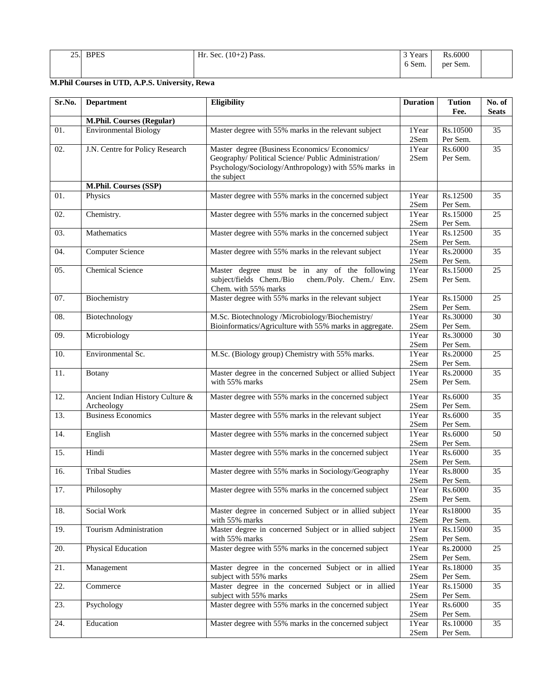| 25. | <b>BPES</b> | $(10+2)$ Pass.<br>Hr.<br>$\sim$<br>Sec. | <sup>3</sup> Years             | Rs.6000            |  |
|-----|-------------|-----------------------------------------|--------------------------------|--------------------|--|
|     |             |                                         | 6 Sem.<br>$\sim$ $\sim$ $\sim$ | $\sim$<br>per Sem. |  |

# **M.Phil Courses in UTD, A.P.S. University, Rewa**

| Sr.No. | <b>Department</b>                              | <b>Eligibility</b>                                                                                                                                                           | <b>Duration</b>             | <b>Tution</b><br>Fee. | No. of<br><b>Seats</b> |
|--------|------------------------------------------------|------------------------------------------------------------------------------------------------------------------------------------------------------------------------------|-----------------------------|-----------------------|------------------------|
|        | M.Phil. Courses (Regular)                      |                                                                                                                                                                              |                             |                       |                        |
| 01.    | <b>Environmental Biology</b>                   | Master degree with 55% marks in the relevant subject                                                                                                                         | 1Year<br>2Sem               | Rs.10500<br>Per Sem.  | 35                     |
| 02.    | J.N. Centre for Policy Research                | Master degree (Business Economics/ Economics/<br>Geography/ Political Science/ Public Administration/<br>Psychology/Sociology/Anthropology) with 55% marks in<br>the subject |                             | Rs.6000<br>Per Sem.   | $\overline{35}$        |
|        | M.Phil. Courses (SSP)                          |                                                                                                                                                                              |                             |                       |                        |
| 01.    | Physics                                        | Master degree with 55% marks in the concerned subject                                                                                                                        | 1Year<br>2Sem               | Rs.12500<br>Per Sem.  | 35                     |
| 02.    | Chemistry.                                     | Master degree with 55% marks in the concerned subject                                                                                                                        | 1Year<br>2Sem               | Rs.15000<br>Per Sem.  | 25                     |
| 03.    | Mathematics                                    | Master degree with 55% marks in the concerned subject                                                                                                                        | 1Year<br>2Sem               | Rs.12500<br>Per Sem.  | $\overline{35}$        |
| 04.    | Computer Science                               | Master degree with 55% marks in the relevant subject                                                                                                                         | 1Year<br>$2\mathrm{Sem}$    | Rs.20000<br>Per Sem.  | $\overline{35}$        |
| 05.    | <b>Chemical Science</b>                        | Master degree must be in any of the following<br>subject/fields Chem./Bio<br>chem./Poly. Chem./ Env.<br>Chem. with 55% marks                                                 | 1Year<br>2Sem               | Rs.15000<br>Per Sem.  | 25                     |
| 07.    | Biochemistry                                   | Master degree with 55% marks in the relevant subject                                                                                                                         | 1Year<br>2Sem               | Rs.15000<br>Per Sem.  | 25                     |
| 08.    | Biotechnology                                  | M.Sc. Biotechnology/Microbiology/Biochemistry/<br>Bioinformatics/Agriculture with 55% marks in aggregate.                                                                    | 1Year<br>2Sem               | Rs.30000<br>Per Sem.  | 30                     |
| 09.    | Microbiology                                   |                                                                                                                                                                              | 1Year<br>2Sem               | Rs.30000<br>Per Sem.  | $\overline{30}$        |
| 10.    | Environmental Sc.                              | M.Sc. (Biology group) Chemistry with 55% marks.                                                                                                                              | 1Year<br>2Sem               | Rs.20000<br>Per Sem.  | 25                     |
| 11.    | <b>Botany</b>                                  | Master degree in the concerned Subject or allied Subject<br>with 55% marks                                                                                                   | 1Year<br>2Sem               | Rs.20000<br>Per Sem.  | 35                     |
| 12.    | Ancient Indian History Culture &<br>Archeology | Master degree with 55% marks in the concerned subject                                                                                                                        | 1Year<br>2Sem               | Rs.6000<br>Per Sem.   | 35                     |
| 13.    | <b>Business Economics</b>                      | Master degree with 55% marks in the relevant subject                                                                                                                         | $1$ Year<br>$2\mathrm{Sem}$ | Rs.6000<br>Per Sem.   | 35                     |
| 14.    | English                                        | Master degree with 55% marks in the concerned subject                                                                                                                        | 1Year<br>2Sem               | Rs.6000<br>Per Sem.   | 50                     |
| 15.    | Hindi                                          | Master degree with 55% marks in the concerned subject                                                                                                                        | 1Year<br>2Sem               | Rs.6000<br>Per Sem.   | 35                     |
| 16.    | <b>Tribal Studies</b>                          | Master degree with 55% marks in Sociology/Geography                                                                                                                          | 1Year<br>2Sem               | Rs.8000<br>Per Sem.   | $\overline{35}$        |
| 17.    | Philosophy                                     | Master degree with 55% marks in the concerned subject                                                                                                                        | 1Year<br>2Sem               | Rs.6000<br>Per Sem.   | 35                     |
| 18.    | Social Work                                    | Master degree in concerned Subject or in allied subject<br>with 55% marks                                                                                                    | 1Year<br>2Sem               | Rs18000<br>Per Sem.   | 35                     |
| 19.    | Tourism Administration                         | Master degree in concerned Subject or in allied subject<br>with 55% marks                                                                                                    | 1Year<br>2Sem               | Rs.15000<br>Per Sem.  | 35                     |
| 20.    | <b>Physical Education</b>                      | Master degree with 55% marks in the concerned subject                                                                                                                        | 1Year<br>2Sem               | Rs.20000<br>Per Sem.  | $\overline{25}$        |
| 21.    | Management                                     | Master degree in the concerned Subject or in allied<br>subject with 55% marks                                                                                                | 1Year<br>2Sem               | Rs.18000<br>Per Sem.  | 35                     |
| 22.    | Commerce                                       | Master degree in the concerned Subject or in allied<br>subject with 55% marks                                                                                                | 1Year<br>2Sem               | Rs.15000<br>Per Sem.  | 35                     |
| 23.    | Psychology                                     | Master degree with 55% marks in the concerned subject                                                                                                                        | 1Year<br>2Sem               | Rs.6000<br>Per Sem.   | 35                     |
| 24.    | Education                                      | Master degree with 55% marks in the concerned subject                                                                                                                        | 1Year<br>2Sem               | Rs.10000<br>Per Sem.  | $\overline{35}$        |